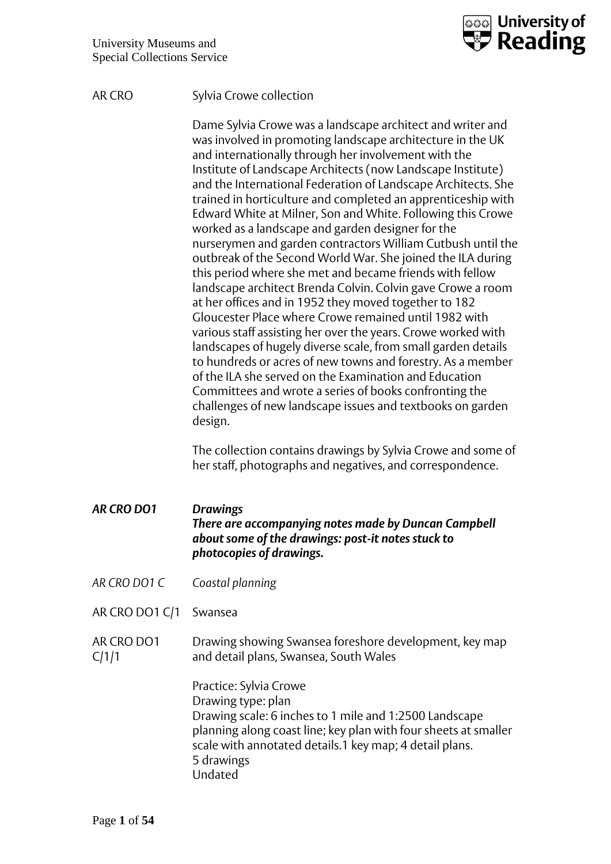

## AR CRO Sylvia Crowe collection

Dame Sylvia Crowe was a landscape architect and writer and was involved in promoting landscape architecture in the UK and internationally through her involvement with the Institute of Landscape Architects (now Landscape Institute) and the International Federation of Landscape Architects. She trained in horticulture and completed an apprenticeship with Edward White at Milner, Son and White. Following this Crowe worked as a landscape and garden designer for the nurserymen and garden contractors William Cutbush until the outbreak of the Second World War. She joined the ILA during this period where she met and became friends with fellow landscape architect Brenda Colvin. Colvin gave Crowe a room at her offices and in 1952 they moved together to 182 Gloucester Place where Crowe remained until 1982 with various staff assisting her over the years. Crowe worked with landscapes of hugely diverse scale, from small garden details to hundreds or acres of new towns and forestry. As a member of the ILA she served on the Examination and Education Committees and wrote a series of books confronting the challenges of new landscape issues and textbooks on garden design.

The collection contains drawings by Sylvia Crowe and some of her staff, photographs and negatives, and correspondence.

## *AR CRO DO1 Drawings There are accompanying notes made by Duncan Campbell about some of the drawings: post-it notes stuck to photocopies of drawings.*

- *AR CRO DO1 C Coastal planning*
- AR CRO DO1 C/1 Swansea
- AR CRO DO1 C/1/1 Drawing showing Swansea foreshore development, key map and detail plans, Swansea, South Wales

Practice: Sylvia Crowe Drawing type: plan Drawing scale: 6 inches to 1 mile and 1:2500 Landscape planning along coast line; key plan with four sheets at smaller scale with annotated details.1 key map; 4 detail plans. 5 drawings Undated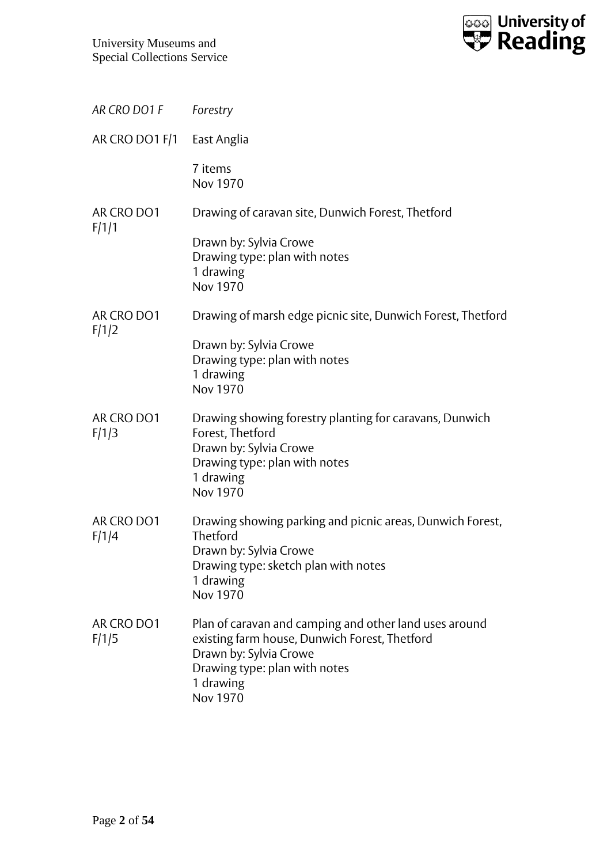

| AR CRO DO1 F        | Forestry                                                                                                                                                                                    |
|---------------------|---------------------------------------------------------------------------------------------------------------------------------------------------------------------------------------------|
| AR CRO DO1 F/1      | East Anglia                                                                                                                                                                                 |
|                     | 7 items<br><b>Nov 1970</b>                                                                                                                                                                  |
| AR CRO DO1          | Drawing of caravan site, Dunwich Forest, Thetford                                                                                                                                           |
| F/1/1               | Drawn by: Sylvia Crowe<br>Drawing type: plan with notes<br>1 drawing<br><b>Nov 1970</b>                                                                                                     |
| AR CRO DO1          | Drawing of marsh edge picnic site, Dunwich Forest, Thetford                                                                                                                                 |
| F/1/2               | Drawn by: Sylvia Crowe<br>Drawing type: plan with notes<br>1 drawing<br><b>Nov 1970</b>                                                                                                     |
| AR CRO DO1<br>F/1/3 | Drawing showing forestry planting for caravans, Dunwich<br>Forest, Thetford<br>Drawn by: Sylvia Crowe<br>Drawing type: plan with notes<br>1 drawing<br>Nov 1970                             |
| AR CRO DO1<br>F/1/4 | Drawing showing parking and picnic areas, Dunwich Forest,<br>Thetford<br>Drawn by: Sylvia Crowe<br>Drawing type: sketch plan with notes<br>1 drawing<br>Nov 1970                            |
| AR CRO DO1<br>F/1/5 | Plan of caravan and camping and other land uses around<br>existing farm house, Dunwich Forest, Thetford<br>Drawn by: Sylvia Crowe<br>Drawing type: plan with notes<br>1 drawing<br>Nov 1970 |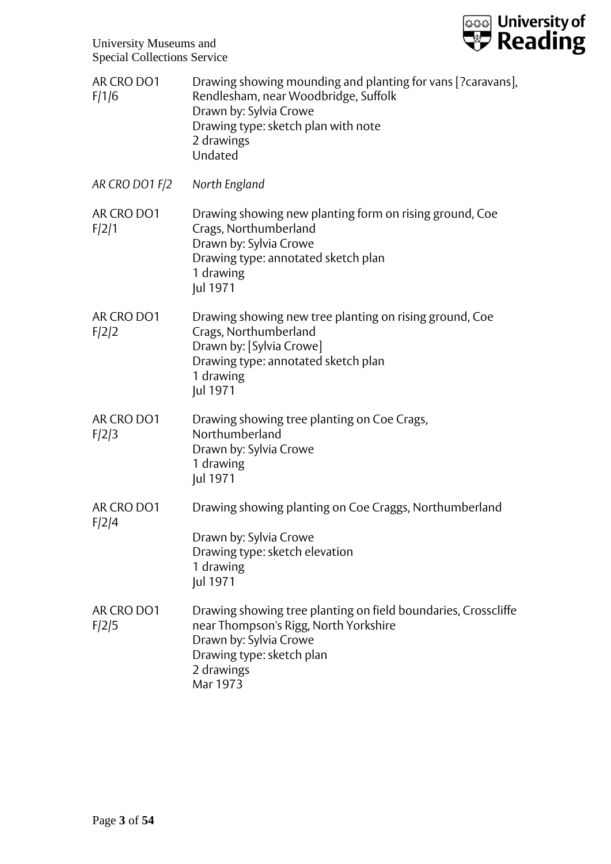

| AR CRO DO1<br>F/1/6 | Drawing showing mounding and planting for vans [?caravans],<br>Rendlesham, near Woodbridge, Suffolk<br>Drawn by: Sylvia Crowe<br>Drawing type: sketch plan with note<br>2 drawings<br>Undated |
|---------------------|-----------------------------------------------------------------------------------------------------------------------------------------------------------------------------------------------|
| AR CRO DO1 F/2      | North England                                                                                                                                                                                 |
| AR CRO DO1<br>F/2/1 | Drawing showing new planting form on rising ground, Coe<br>Crags, Northumberland<br>Drawn by: Sylvia Crowe<br>Drawing type: annotated sketch plan<br>1 drawing<br>Jul 1971                    |
| AR CRO DO1<br>F/2/2 | Drawing showing new tree planting on rising ground, Coe<br>Crags, Northumberland<br>Drawn by: [Sylvia Crowe]<br>Drawing type: annotated sketch plan<br>1 drawing<br>Jul 1971                  |
| AR CRO DO1<br>F/2/3 | Drawing showing tree planting on Coe Crags,<br>Northumberland<br>Drawn by: Sylvia Crowe<br>1 drawing<br>Jul 1971                                                                              |
| AR CRO DO1          | Drawing showing planting on Coe Craggs, Northumberland                                                                                                                                        |
| F/2/4               | Drawn by: Sylvia Crowe<br>Drawing type: sketch elevation<br>1 drawing<br>Jul 1971                                                                                                             |
| AR CRO DO1<br>F/2/5 | Drawing showing tree planting on field boundaries, Crosscliffe<br>near Thompson's Rigg, North Yorkshire<br>Drawn by: Sylvia Crowe<br>Drawing type: sketch plan<br>2 drawings<br>Mar 1973      |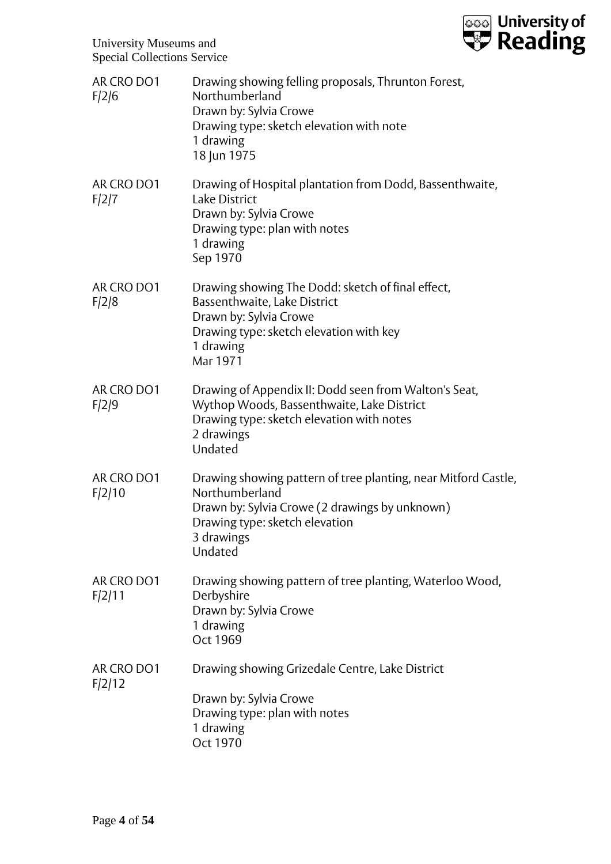

| AR CRO DO1<br>F/2/6  | Drawing showing felling proposals, Thrunton Forest,<br>Northumberland<br>Drawn by: Sylvia Crowe<br>Drawing type: sketch elevation with note<br>1 drawing<br>18 Jun 1975                       |
|----------------------|-----------------------------------------------------------------------------------------------------------------------------------------------------------------------------------------------|
| AR CRO DO1<br>F/2/7  | Drawing of Hospital plantation from Dodd, Bassenthwaite,<br><b>Lake District</b><br>Drawn by: Sylvia Crowe<br>Drawing type: plan with notes<br>1 drawing<br>Sep 1970                          |
| AR CRO DO1<br>F/2/8  | Drawing showing The Dodd: sketch of final effect,<br>Bassenthwaite, Lake District<br>Drawn by: Sylvia Crowe<br>Drawing type: sketch elevation with key<br>1 drawing<br>Mar 1971               |
| AR CRO DO1<br>F/2/9  | Drawing of Appendix II: Dodd seen from Walton's Seat,<br>Wythop Woods, Bassenthwaite, Lake District<br>Drawing type: sketch elevation with notes<br>2 drawings<br>Undated                     |
| AR CRO DO1<br>F/2/10 | Drawing showing pattern of tree planting, near Mitford Castle,<br>Northumberland<br>Drawn by: Sylvia Crowe (2 drawings by unknown)<br>Drawing type: sketch elevation<br>3 drawings<br>Undated |
| AR CRO DO1<br>F/2/11 | Drawing showing pattern of tree planting, Waterloo Wood,<br>Derbyshire<br>Drawn by: Sylvia Crowe<br>1 drawing<br>Oct 1969                                                                     |
| AR CRO DO1<br>F/2/12 | Drawing showing Grizedale Centre, Lake District<br>Drawn by: Sylvia Crowe<br>Drawing type: plan with notes<br>1 drawing<br>Oct 1970                                                           |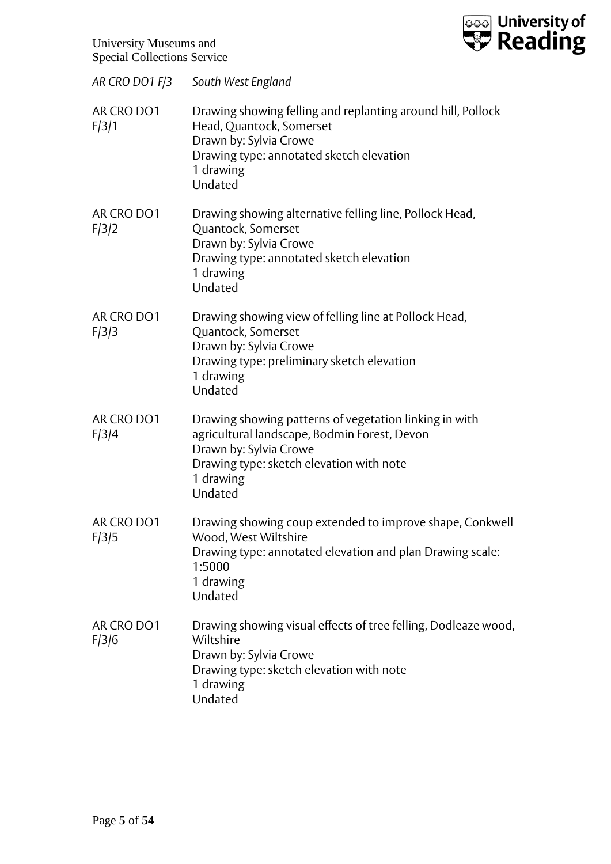

| AR CRO DO1 F/3      | South West England                                                                                                                                                                                   |
|---------------------|------------------------------------------------------------------------------------------------------------------------------------------------------------------------------------------------------|
| AR CRO DO1<br>F/3/1 | Drawing showing felling and replanting around hill, Pollock<br>Head, Quantock, Somerset<br>Drawn by: Sylvia Crowe<br>Drawing type: annotated sketch elevation<br>1 drawing<br>Undated                |
| AR CRO DO1<br>F/3/2 | Drawing showing alternative felling line, Pollock Head,<br>Quantock, Somerset<br>Drawn by: Sylvia Crowe<br>Drawing type: annotated sketch elevation<br>1 drawing<br>Undated                          |
| AR CRO DO1<br>F/3/3 | Drawing showing view of felling line at Pollock Head,<br>Quantock, Somerset<br>Drawn by: Sylvia Crowe<br>Drawing type: preliminary sketch elevation<br>1 drawing<br>Undated                          |
| AR CRO DO1<br>F/3/4 | Drawing showing patterns of vegetation linking in with<br>agricultural landscape, Bodmin Forest, Devon<br>Drawn by: Sylvia Crowe<br>Drawing type: sketch elevation with note<br>1 drawing<br>Undated |
| AR CRO DO1<br>F/3/5 | Drawing showing coup extended to improve shape, Conkwell<br>Wood, West Wiltshire<br>Drawing type: annotated elevation and plan Drawing scale:<br>1:5000<br>1 drawing<br>Undated                      |
| AR CRO DO1<br>F/3/6 | Drawing showing visual effects of tree felling, Dodleaze wood,<br>Wiltshire<br>Drawn by: Sylvia Crowe<br>Drawing type: sketch elevation with note<br>1 drawing<br>Undated                            |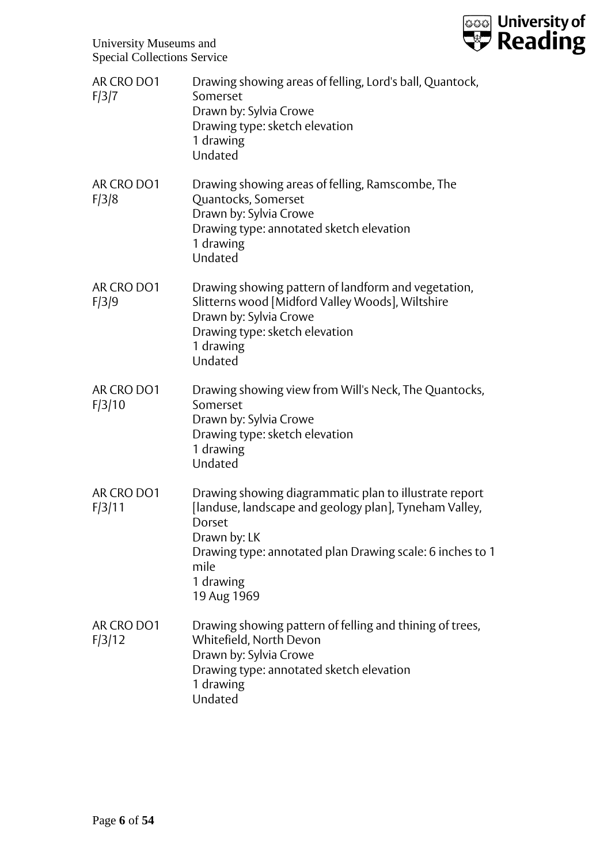

| AR CRO DO1<br>F/3/7  | Drawing showing areas of felling, Lord's ball, Quantock,<br>Somerset<br>Drawn by: Sylvia Crowe<br>Drawing type: sketch elevation<br>1 drawing<br>Undated                                                                                    |
|----------------------|---------------------------------------------------------------------------------------------------------------------------------------------------------------------------------------------------------------------------------------------|
| AR CRO DO1<br>F/3/8  | Drawing showing areas of felling, Ramscombe, The<br>Quantocks, Somerset<br>Drawn by: Sylvia Crowe<br>Drawing type: annotated sketch elevation<br>1 drawing<br>Undated                                                                       |
| AR CRO DO1<br>F/3/9  | Drawing showing pattern of landform and vegetation,<br>Slitterns wood [Midford Valley Woods], Wiltshire<br>Drawn by: Sylvia Crowe<br>Drawing type: sketch elevation<br>1 drawing<br>Undated                                                 |
| AR CRO DO1<br>F/3/10 | Drawing showing view from Will's Neck, The Quantocks,<br>Somerset<br>Drawn by: Sylvia Crowe<br>Drawing type: sketch elevation<br>1 drawing<br>Undated                                                                                       |
| AR CRO DO1<br>F/3/11 | Drawing showing diagrammatic plan to illustrate report<br>[landuse, landscape and geology plan], Tyneham Valley,<br>Dorset<br>Drawn by: LK<br>Drawing type: annotated plan Drawing scale: 6 inches to 1<br>mile<br>1 drawing<br>19 Aug 1969 |
| AR CRO DO1<br>F/3/12 | Drawing showing pattern of felling and thining of trees,<br>Whitefield, North Devon<br>Drawn by: Sylvia Crowe<br>Drawing type: annotated sketch elevation<br>1 drawing<br>Undated                                                           |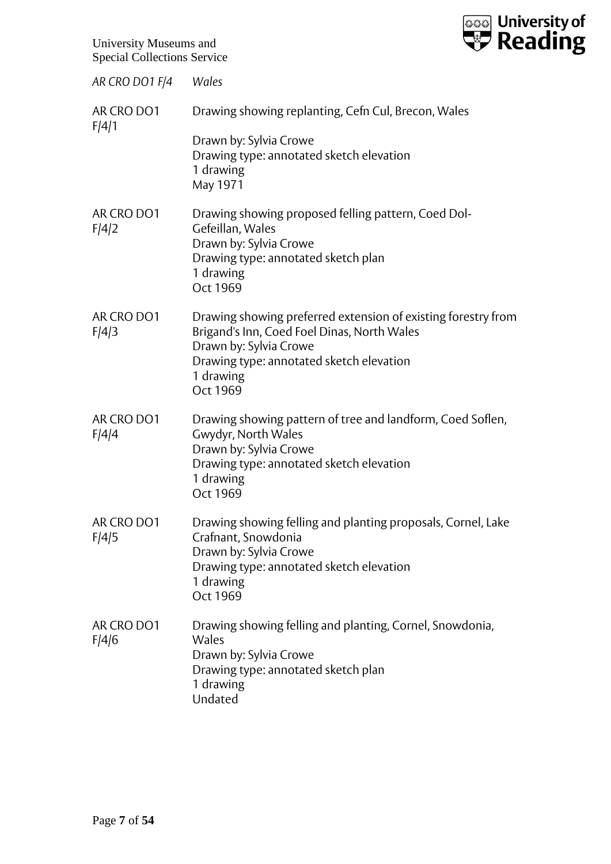

| AR CRO DO1 F/4      | Wales                                                                                                                                                                                                       |
|---------------------|-------------------------------------------------------------------------------------------------------------------------------------------------------------------------------------------------------------|
| AR CRO DO1<br>F/4/1 | Drawing showing replanting, Cefn Cul, Brecon, Wales                                                                                                                                                         |
|                     | Drawn by: Sylvia Crowe<br>Drawing type: annotated sketch elevation<br>1 drawing<br>May 1971                                                                                                                 |
| AR CRO DO1<br>F/4/2 | Drawing showing proposed felling pattern, Coed Dol-<br>Gefeillan, Wales<br>Drawn by: Sylvia Crowe<br>Drawing type: annotated sketch plan<br>1 drawing<br>Oct 1969                                           |
| AR CRO DO1<br>F/4/3 | Drawing showing preferred extension of existing forestry from<br>Brigand's Inn, Coed Foel Dinas, North Wales<br>Drawn by: Sylvia Crowe<br>Drawing type: annotated sketch elevation<br>1 drawing<br>Oct 1969 |
| AR CRO DO1<br>F/4/4 | Drawing showing pattern of tree and landform, Coed Soflen,<br>Gwydyr, North Wales<br>Drawn by: Sylvia Crowe<br>Drawing type: annotated sketch elevation<br>1 drawing<br>Oct 1969                            |
| AR CRO DO1<br>F/4/5 | Drawing showing felling and planting proposals, Cornel, Lake<br>Crafnant, Snowdonia<br>Drawn by: Sylvia Crowe<br>Drawing type: annotated sketch elevation<br>1 drawing<br>Oct 1969                          |
| AR CRO DO1<br>F/4/6 | Drawing showing felling and planting, Cornel, Snowdonia,<br>Wales<br>Drawn by: Sylvia Crowe<br>Drawing type: annotated sketch plan<br>1 drawing<br>Undated                                                  |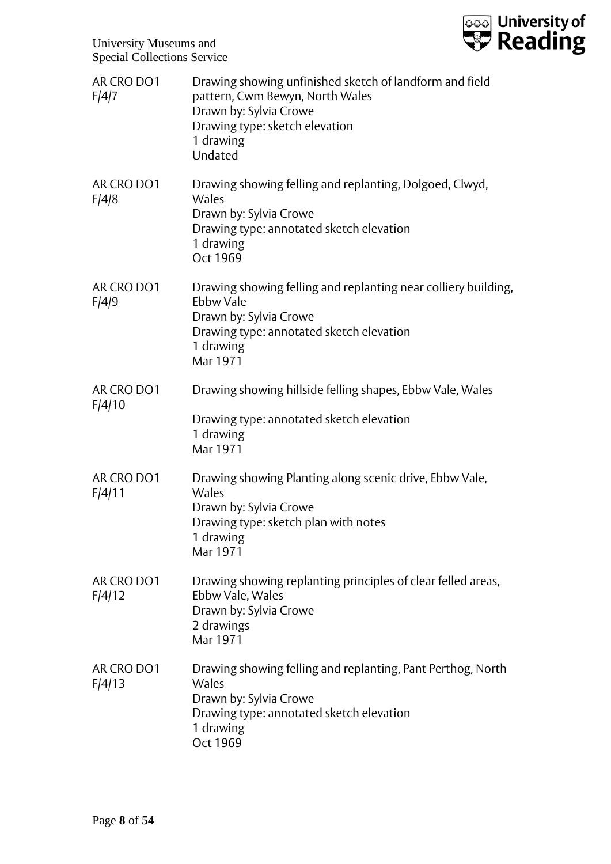

| AR CRO DO1<br>F/4/7  | Drawing showing unfinished sketch of landform and field<br>pattern, Cwm Bewyn, North Wales<br>Drawn by: Sylvia Crowe<br>Drawing type: sketch elevation<br>1 drawing<br>Undated |
|----------------------|--------------------------------------------------------------------------------------------------------------------------------------------------------------------------------|
| AR CRO DO1<br>F/4/8  | Drawing showing felling and replanting, Dolgoed, Clwyd,<br>Wales<br>Drawn by: Sylvia Crowe<br>Drawing type: annotated sketch elevation<br>1 drawing<br>Oct 1969                |
| AR CRO DO1<br>F/4/9  | Drawing showing felling and replanting near colliery building,<br>Ebbw Vale<br>Drawn by: Sylvia Crowe<br>Drawing type: annotated sketch elevation<br>1 drawing<br>Mar 1971     |
| AR CRO DO1<br>F/4/10 | Drawing showing hillside felling shapes, Ebbw Vale, Wales                                                                                                                      |
|                      | Drawing type: annotated sketch elevation<br>1 drawing<br>Mar 1971                                                                                                              |
| AR CRO DO1<br>F/4/11 | Drawing showing Planting along scenic drive, Ebbw Vale,<br>Wales<br>Drawn by: Sylvia Crowe<br>Drawing type: sketch plan with notes<br>1 drawing<br>Mar 1971                    |
| AR CRO DO1<br>F/4/12 | Drawing showing replanting principles of clear felled areas,<br>Ebbw Vale, Wales<br>Drawn by: Sylvia Crowe<br>2 drawings<br>Mar 1971                                           |
| AR CRO DO1<br>F/4/13 | Drawing showing felling and replanting, Pant Perthog, North<br>Wales<br>Drawn by: Sylvia Crowe<br>Drawing type: annotated sketch elevation<br>1 drawing<br>Oct 1969            |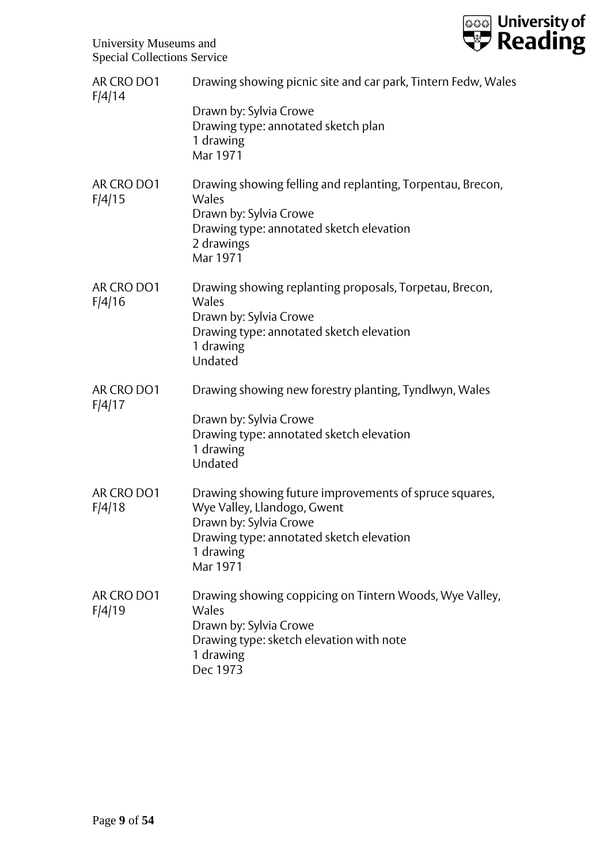

| AR CRO DO1<br>F/4/14 | Drawing showing picnic site and car park, Tintern Fedw, Wales                                                                                                                        |
|----------------------|--------------------------------------------------------------------------------------------------------------------------------------------------------------------------------------|
|                      | Drawn by: Sylvia Crowe<br>Drawing type: annotated sketch plan<br>1 drawing<br>Mar 1971                                                                                               |
| AR CRO DO1<br>F/4/15 | Drawing showing felling and replanting, Torpentau, Brecon,<br>Wales<br>Drawn by: Sylvia Crowe<br>Drawing type: annotated sketch elevation<br>2 drawings<br>Mar 1971                  |
| AR CRO DO1<br>F/4/16 | Drawing showing replanting proposals, Torpetau, Brecon,<br>Wales<br>Drawn by: Sylvia Crowe<br>Drawing type: annotated sketch elevation<br>1 drawing<br>Undated                       |
| AR CRO DO1<br>F/4/17 | Drawing showing new forestry planting, Tyndlwyn, Wales<br>Drawn by: Sylvia Crowe<br>Drawing type: annotated sketch elevation<br>1 drawing<br>Undated                                 |
| AR CRO DO1<br>F/4/18 | Drawing showing future improvements of spruce squares,<br>Wye Valley, Llandogo, Gwent<br>Drawn by: Sylvia Crowe<br>Drawing type: annotated sketch elevation<br>1 drawing<br>Mar 1971 |
| AR CRO DO1<br>F/4/19 | Drawing showing coppicing on Tintern Woods, Wye Valley,<br>Wales<br>Drawn by: Sylvia Crowe<br>Drawing type: sketch elevation with note<br>1 drawing<br>Dec 1973                      |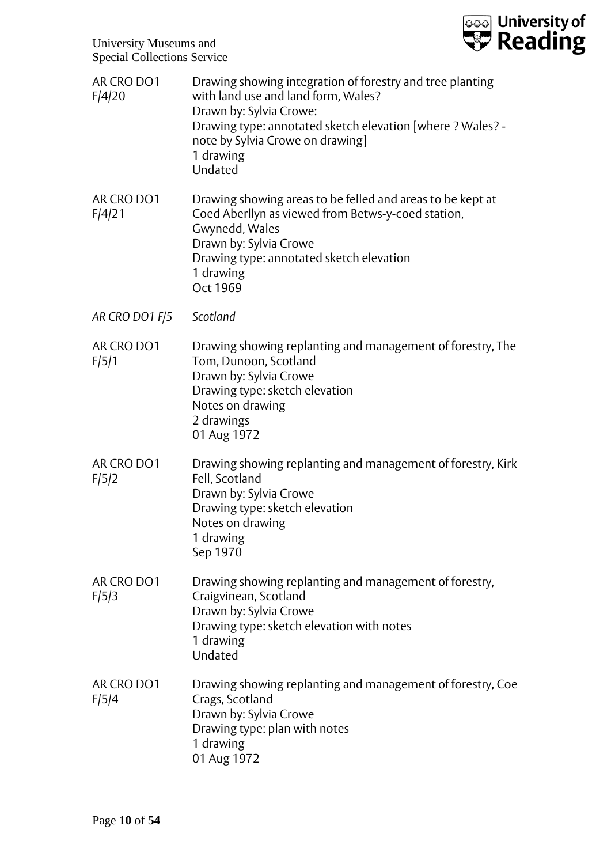

| AR CRO DO1<br>F/4/20 | Drawing showing integration of forestry and tree planting<br>with land use and land form, Wales?<br>Drawn by: Sylvia Crowe:<br>Drawing type: annotated sketch elevation [where ? Wales? -<br>note by Sylvia Crowe on drawing]<br>1 drawing<br>Undated |
|----------------------|-------------------------------------------------------------------------------------------------------------------------------------------------------------------------------------------------------------------------------------------------------|
| AR CRO DO1<br>F/4/21 | Drawing showing areas to be felled and areas to be kept at<br>Coed Aberllyn as viewed from Betws-y-coed station,<br>Gwynedd, Wales<br>Drawn by: Sylvia Crowe<br>Drawing type: annotated sketch elevation<br>1 drawing<br>Oct 1969                     |
| AR CRO DO1 F/5       | Scotland                                                                                                                                                                                                                                              |
| AR CRO DO1<br>F/5/1  | Drawing showing replanting and management of forestry, The<br>Tom, Dunoon, Scotland<br>Drawn by: Sylvia Crowe<br>Drawing type: sketch elevation<br>Notes on drawing<br>2 drawings<br>01 Aug 1972                                                      |
| AR CRO DO1<br>F/5/2  | Drawing showing replanting and management of forestry, Kirk<br>Fell, Scotland<br>Drawn by: Sylvia Crowe<br>Drawing type: sketch elevation<br>Notes on drawing<br>1 drawing<br>Sep 1970                                                                |
| AR CRO DO1<br>F/5/3  | Drawing showing replanting and management of forestry,<br>Craigvinean, Scotland<br>Drawn by: Sylvia Crowe<br>Drawing type: sketch elevation with notes<br>1 drawing<br>Undated                                                                        |
| AR CRO DO1<br>F/5/4  | Drawing showing replanting and management of forestry, Coe<br>Crags, Scotland<br>Drawn by: Sylvia Crowe<br>Drawing type: plan with notes<br>1 drawing<br>01 Aug 1972                                                                                  |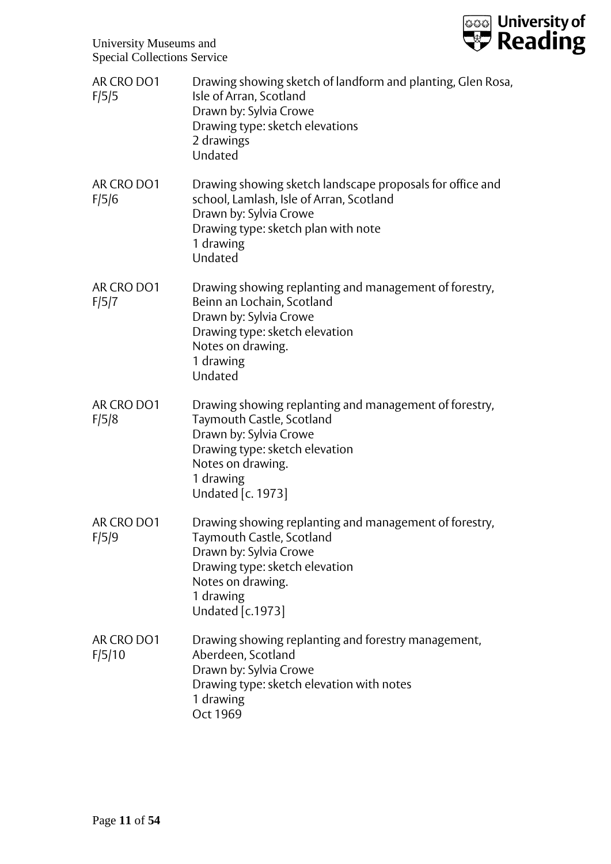

| AR CRO DO1<br>F/5/5  | Drawing showing sketch of landform and planting, Glen Rosa,<br>Isle of Arran, Scotland<br>Drawn by: Sylvia Crowe<br>Drawing type: sketch elevations<br>2 drawings<br>Undated                           |
|----------------------|--------------------------------------------------------------------------------------------------------------------------------------------------------------------------------------------------------|
| AR CRO DO1<br>F/5/6  | Drawing showing sketch landscape proposals for office and<br>school, Lamlash, Isle of Arran, Scotland<br>Drawn by: Sylvia Crowe<br>Drawing type: sketch plan with note<br>1 drawing<br>Undated         |
| AR CRO DO1<br>F/5/7  | Drawing showing replanting and management of forestry,<br>Beinn an Lochain, Scotland<br>Drawn by: Sylvia Crowe<br>Drawing type: sketch elevation<br>Notes on drawing.<br>1 drawing<br>Undated          |
| AR CRO DO1<br>F/5/8  | Drawing showing replanting and management of forestry,<br>Taymouth Castle, Scotland<br>Drawn by: Sylvia Crowe<br>Drawing type: sketch elevation<br>Notes on drawing.<br>1 drawing<br>Undated [c. 1973] |
| AR CRO DO1<br>F/5/9  | Drawing showing replanting and management of forestry,<br>Taymouth Castle, Scotland<br>Drawn by: Sylvia Crowe<br>Drawing type: sketch elevation<br>Notes on drawing.<br>1 drawing<br>Undated [c.1973]  |
| AR CRO DO1<br>F/5/10 | Drawing showing replanting and forestry management,<br>Aberdeen, Scotland<br>Drawn by: Sylvia Crowe<br>Drawing type: sketch elevation with notes<br>1 drawing<br>Oct 1969                              |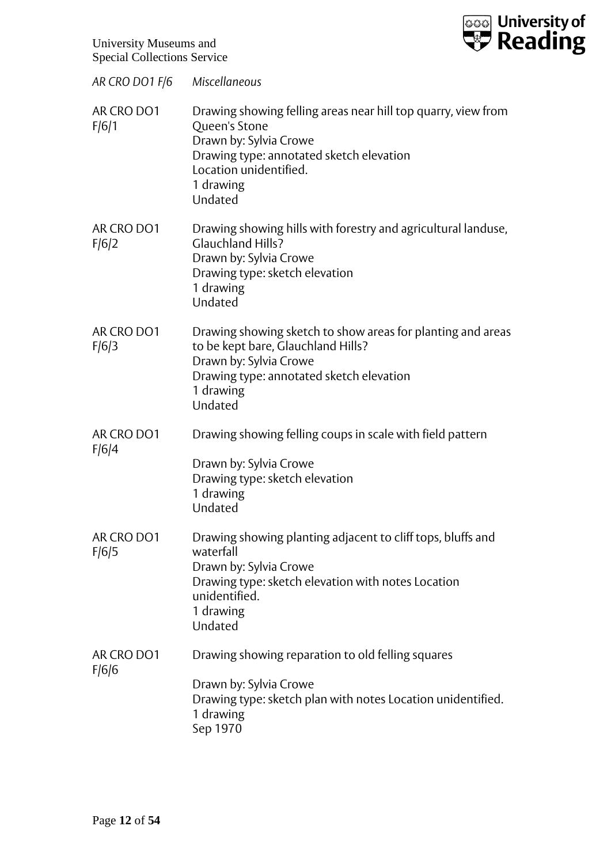

| AR CRO DO1 F/6 Miscellaneous |                                                                                                                                                                                                        |
|------------------------------|--------------------------------------------------------------------------------------------------------------------------------------------------------------------------------------------------------|
| AR CRO DO1<br>F/6/1          | Drawing showing felling areas near hill top quarry, view from<br>Queen's Stone<br>Drawn by: Sylvia Crowe<br>Drawing type: annotated sketch elevation<br>Location unidentified.<br>1 drawing<br>Undated |
| AR CRO DO1<br>F/6/2          | Drawing showing hills with forestry and agricultural landuse,<br><b>Glauchland Hills?</b><br>Drawn by: Sylvia Crowe<br>Drawing type: sketch elevation<br>1 drawing<br>Undated                          |
| AR CRO DO1<br>F/6/3          | Drawing showing sketch to show areas for planting and areas<br>to be kept bare, Glauchland Hills?<br>Drawn by: Sylvia Crowe<br>Drawing type: annotated sketch elevation<br>1 drawing<br>Undated        |
| AR CRO DO1<br>F/6/4          | Drawing showing felling coups in scale with field pattern<br>Drawn by: Sylvia Crowe<br>Drawing type: sketch elevation<br>1 drawing<br>Undated                                                          |
| AR CRO DO1<br>F/6/5          | Drawing showing planting adjacent to cliff tops, bluffs and<br>waterfall<br>Drawn by: Sylvia Crowe<br>Drawing type: sketch elevation with notes Location<br>unidentified.<br>1 drawing<br>Undated      |
| AR CRO DO1<br>F/6/6          | Drawing showing reparation to old felling squares<br>Drawn by: Sylvia Crowe<br>Drawing type: sketch plan with notes Location unidentified.<br>1 drawing<br>Sep 1970                                    |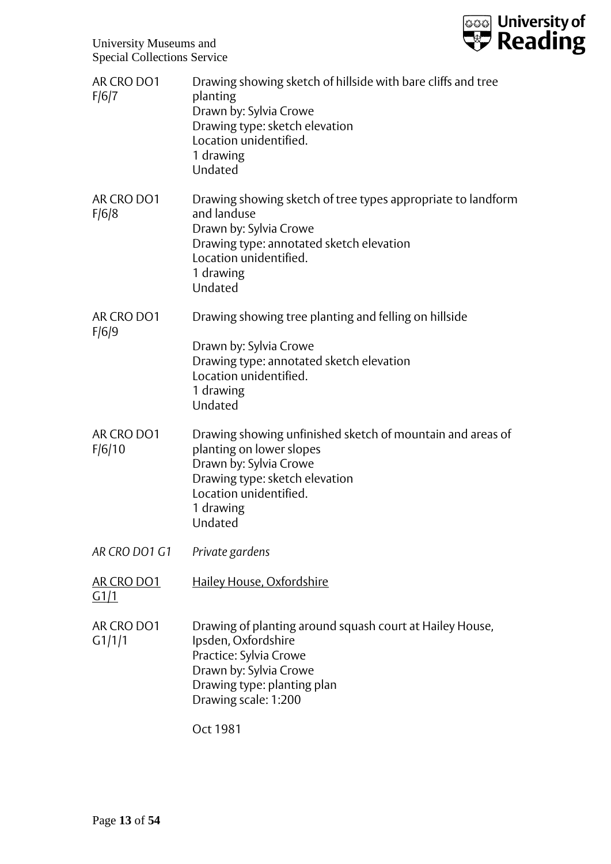

| AR CRO DO1<br>F/6/7       | Drawing showing sketch of hillside with bare cliffs and tree<br>planting<br>Drawn by: Sylvia Crowe<br>Drawing type: sketch elevation<br>Location unidentified.<br>1 drawing<br>Undated               |
|---------------------------|------------------------------------------------------------------------------------------------------------------------------------------------------------------------------------------------------|
| AR CRO DO1<br>F/6/8       | Drawing showing sketch of tree types appropriate to landform<br>and landuse<br>Drawn by: Sylvia Crowe<br>Drawing type: annotated sketch elevation<br>Location unidentified.<br>1 drawing<br>Undated  |
| AR CRO DO1                | Drawing showing tree planting and felling on hillside                                                                                                                                                |
| F/6/9                     | Drawn by: Sylvia Crowe<br>Drawing type: annotated sketch elevation<br>Location unidentified.<br>1 drawing<br>Undated                                                                                 |
| AR CRO DO1<br>F/6/10      | Drawing showing unfinished sketch of mountain and areas of<br>planting on lower slopes<br>Drawn by: Sylvia Crowe<br>Drawing type: sketch elevation<br>Location unidentified.<br>1 drawing<br>Undated |
| AR CRO DO1 G1             | Private gardens                                                                                                                                                                                      |
| <b>AR CRO DO1</b><br>G1/1 | Hailey House, Oxfordshire                                                                                                                                                                            |
| AR CRO DO1<br>G1/1/1      | Drawing of planting around squash court at Hailey House,<br>Ipsden, Oxfordshire<br>Practice: Sylvia Crowe<br>Drawn by: Sylvia Crowe<br>Drawing type: planting plan<br>Drawing scale: 1:200           |
|                           | Oct 1981                                                                                                                                                                                             |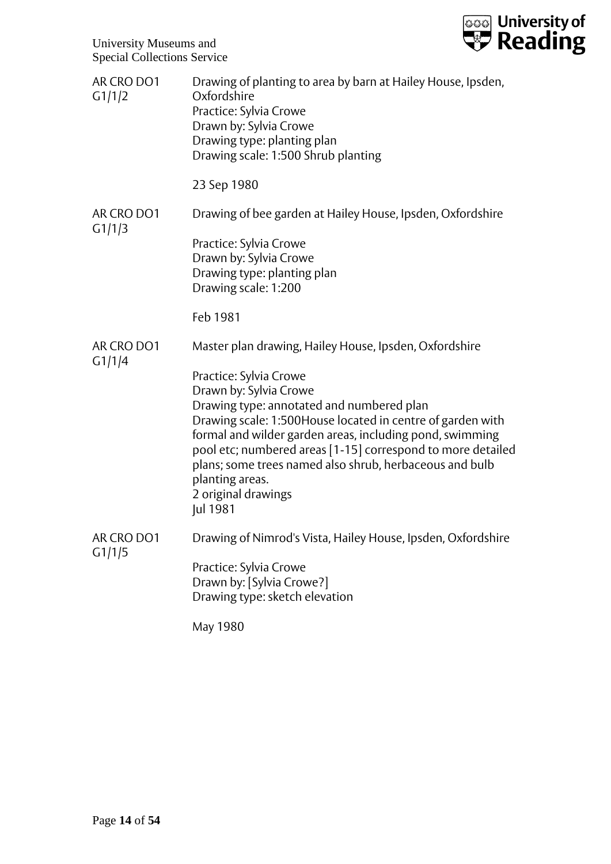

| AR CRO DO1<br>G1/1/2 | Drawing of planting to area by barn at Hailey House, Ipsden,<br>Oxfordshire<br>Practice: Sylvia Crowe<br>Drawn by: Sylvia Crowe<br>Drawing type: planting plan<br>Drawing scale: 1:500 Shrub planting                                                                                                                                                                                                   |
|----------------------|---------------------------------------------------------------------------------------------------------------------------------------------------------------------------------------------------------------------------------------------------------------------------------------------------------------------------------------------------------------------------------------------------------|
|                      | 23 Sep 1980                                                                                                                                                                                                                                                                                                                                                                                             |
| AR CRO DO1<br>G1/1/3 | Drawing of bee garden at Hailey House, Ipsden, Oxfordshire                                                                                                                                                                                                                                                                                                                                              |
|                      | Practice: Sylvia Crowe<br>Drawn by: Sylvia Crowe<br>Drawing type: planting plan<br>Drawing scale: 1:200                                                                                                                                                                                                                                                                                                 |
|                      | Feb 1981                                                                                                                                                                                                                                                                                                                                                                                                |
| AR CRO DO1<br>G1/1/4 | Master plan drawing, Hailey House, Ipsden, Oxfordshire                                                                                                                                                                                                                                                                                                                                                  |
|                      | Practice: Sylvia Crowe<br>Drawn by: Sylvia Crowe<br>Drawing type: annotated and numbered plan<br>Drawing scale: 1:500House located in centre of garden with<br>formal and wilder garden areas, including pond, swimming<br>pool etc; numbered areas [1-15] correspond to more detailed<br>plans; some trees named also shrub, herbaceous and bulb<br>planting areas.<br>2 original drawings<br>Jul 1981 |
| AR CRO DO1<br>G1/1/5 | Drawing of Nimrod's Vista, Hailey House, Ipsden, Oxfordshire                                                                                                                                                                                                                                                                                                                                            |
|                      | Practice: Sylvia Crowe<br>Drawn by: [Sylvia Crowe?]<br>Drawing type: sketch elevation                                                                                                                                                                                                                                                                                                                   |
|                      | May 1980                                                                                                                                                                                                                                                                                                                                                                                                |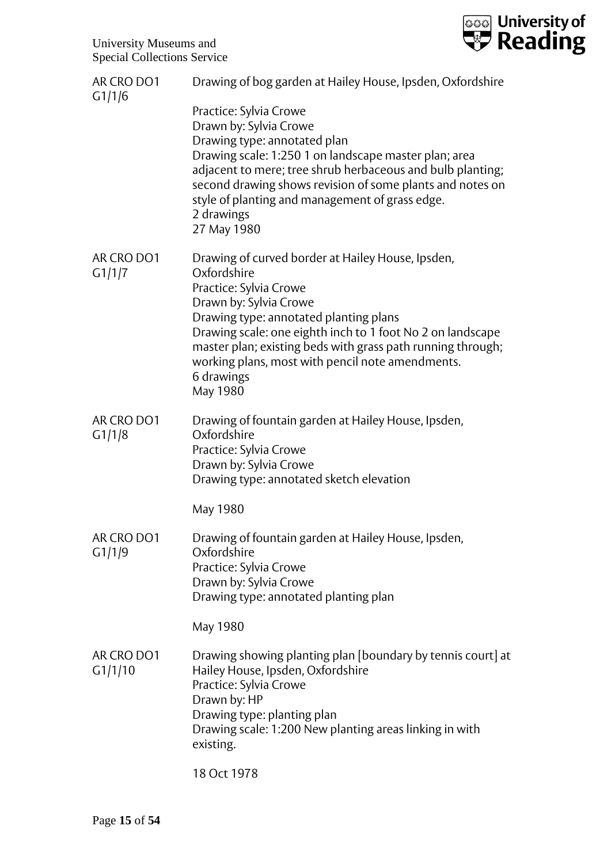

| AR CRO DO1<br>G1/1/6  | Drawing of bog garden at Hailey House, Ipsden, Oxfordshire                                                                                                                                                                                                                                                                                                                |
|-----------------------|---------------------------------------------------------------------------------------------------------------------------------------------------------------------------------------------------------------------------------------------------------------------------------------------------------------------------------------------------------------------------|
|                       | Practice: Sylvia Crowe<br>Drawn by: Sylvia Crowe<br>Drawing type: annotated plan<br>Drawing scale: 1:250 1 on landscape master plan; area<br>adjacent to mere; tree shrub herbaceous and bulb planting;<br>second drawing shows revision of some plants and notes on<br>style of planting and management of grass edge.<br>2 drawings<br>27 May 1980                      |
| AR CRO DO1<br>G1/1/7  | Drawing of curved border at Hailey House, Ipsden,<br>Oxfordshire<br>Practice: Sylvia Crowe<br>Drawn by: Sylvia Crowe<br>Drawing type: annotated planting plans<br>Drawing scale: one eighth inch to 1 foot No 2 on landscape<br>master plan; existing beds with grass path running through;<br>working plans, most with pencil note amendments.<br>6 drawings<br>May 1980 |
| AR CRO DO1<br>G1/1/8  | Drawing of fountain garden at Hailey House, Ipsden,<br>Oxfordshire<br>Practice: Sylvia Crowe<br>Drawn by: Sylvia Crowe<br>Drawing type: annotated sketch elevation                                                                                                                                                                                                        |
|                       | May 1980                                                                                                                                                                                                                                                                                                                                                                  |
| AR CRO DO1<br>G1/1/9  | Drawing of fountain garden at Hailey House, Ipsden,<br>Oxfordshire<br>Practice: Sylvia Crowe<br>Drawn by: Sylvia Crowe<br>Drawing type: annotated planting plan                                                                                                                                                                                                           |
|                       | May 1980                                                                                                                                                                                                                                                                                                                                                                  |
| AR CRO DO1<br>G1/1/10 | Drawing showing planting plan [boundary by tennis court] at<br>Hailey House, Ipsden, Oxfordshire<br>Practice: Sylvia Crowe<br>Drawn by: HP<br>Drawing type: planting plan<br>Drawing scale: 1:200 New planting areas linking in with<br>existing.                                                                                                                         |
|                       | 18 Oct 1978                                                                                                                                                                                                                                                                                                                                                               |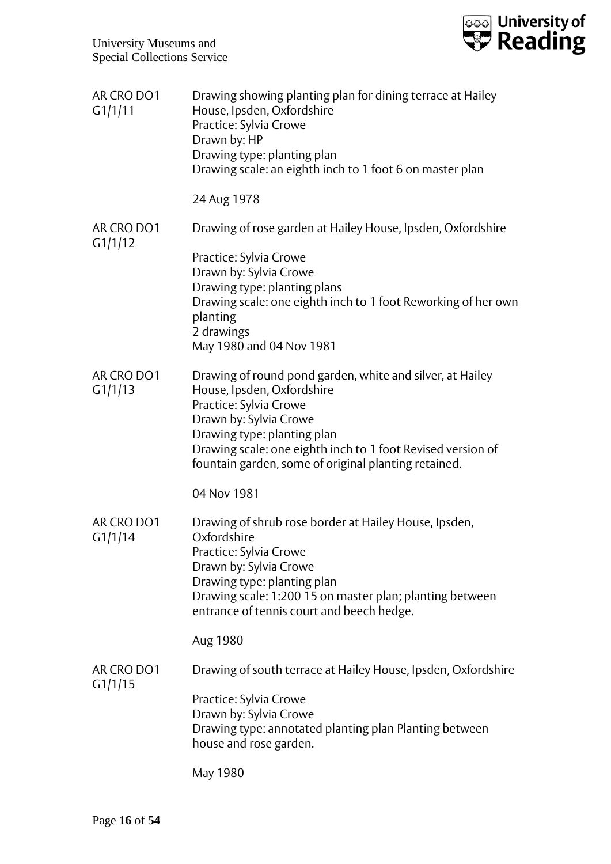| AR CRO DO1<br>G1/1/11 | Drawing showing planting plan for dining terrace at Hailey<br>House, Ipsden, Oxfordshire<br>Practice: Sylvia Crowe<br>Drawn by: HP<br>Drawing type: planting plan<br>Drawing scale: an eighth inch to 1 foot 6 on master plan                                                                     |
|-----------------------|---------------------------------------------------------------------------------------------------------------------------------------------------------------------------------------------------------------------------------------------------------------------------------------------------|
|                       | 24 Aug 1978                                                                                                                                                                                                                                                                                       |
| AR CRO DO1<br>G1/1/12 | Drawing of rose garden at Hailey House, Ipsden, Oxfordshire                                                                                                                                                                                                                                       |
|                       | Practice: Sylvia Crowe<br>Drawn by: Sylvia Crowe<br>Drawing type: planting plans<br>Drawing scale: one eighth inch to 1 foot Reworking of her own<br>planting<br>2 drawings<br>May 1980 and 04 Nov 1981                                                                                           |
| AR CRO DO1<br>G1/1/13 | Drawing of round pond garden, white and silver, at Hailey<br>House, Ipsden, Oxfordshire<br>Practice: Sylvia Crowe<br>Drawn by: Sylvia Crowe<br>Drawing type: planting plan<br>Drawing scale: one eighth inch to 1 foot Revised version of<br>fountain garden, some of original planting retained. |
|                       | 04 Nov 1981                                                                                                                                                                                                                                                                                       |
| AR CRO DO1<br>G1/1/14 | Drawing of shrub rose border at Hailey House, Ipsden,<br>Oxfordshire<br>Practice: Sylvia Crowe<br>Drawn by: Sylvia Crowe<br>Drawing type: planting plan<br>Drawing scale: 1:200 15 on master plan; planting between<br>entrance of tennis court and beech hedge.                                  |
|                       | Aug 1980                                                                                                                                                                                                                                                                                          |
| AR CRO DO1<br>G1/1/15 | Drawing of south terrace at Hailey House, Ipsden, Oxfordshire                                                                                                                                                                                                                                     |
|                       | Practice: Sylvia Crowe<br>Drawn by: Sylvia Crowe<br>Drawing type: annotated planting plan Planting between<br>house and rose garden.                                                                                                                                                              |
|                       | May 1980                                                                                                                                                                                                                                                                                          |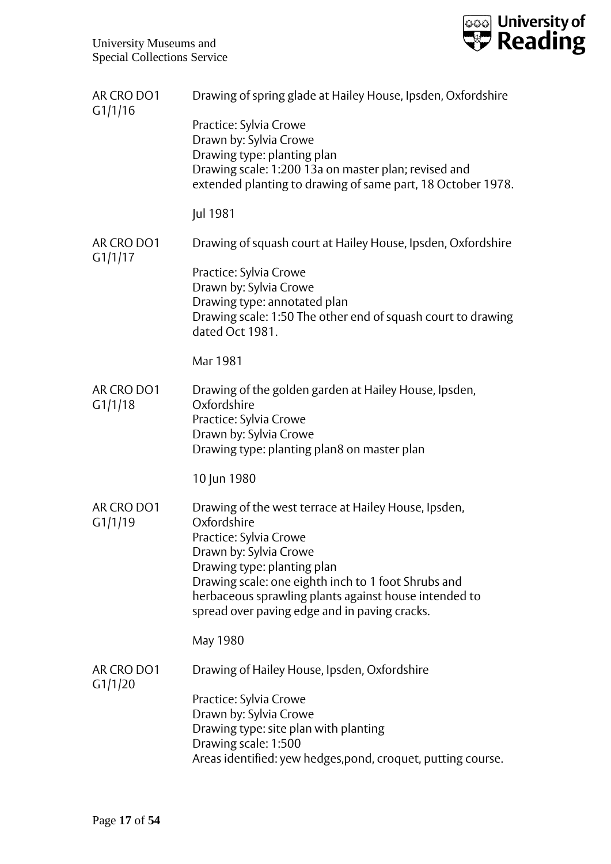

| AR CRO DO1<br>G1/1/16 | Drawing of spring glade at Hailey House, Ipsden, Oxfordshire                                                                                                                                                                                                                                                            |
|-----------------------|-------------------------------------------------------------------------------------------------------------------------------------------------------------------------------------------------------------------------------------------------------------------------------------------------------------------------|
|                       | Practice: Sylvia Crowe<br>Drawn by: Sylvia Crowe<br>Drawing type: planting plan<br>Drawing scale: 1:200 13a on master plan; revised and<br>extended planting to drawing of same part, 18 October 1978.                                                                                                                  |
|                       | Jul 1981                                                                                                                                                                                                                                                                                                                |
| AR CRO DO1            | Drawing of squash court at Hailey House, Ipsden, Oxfordshire                                                                                                                                                                                                                                                            |
| G1/1/17               | Practice: Sylvia Crowe<br>Drawn by: Sylvia Crowe<br>Drawing type: annotated plan<br>Drawing scale: 1:50 The other end of squash court to drawing<br>dated Oct 1981.                                                                                                                                                     |
|                       | Mar 1981                                                                                                                                                                                                                                                                                                                |
| AR CRO DO1<br>G1/1/18 | Drawing of the golden garden at Hailey House, Ipsden,<br>Oxfordshire<br>Practice: Sylvia Crowe<br>Drawn by: Sylvia Crowe<br>Drawing type: planting plan8 on master plan                                                                                                                                                 |
|                       | 10 Jun 1980                                                                                                                                                                                                                                                                                                             |
| AR CRO DO1<br>G1/1/19 | Drawing of the west terrace at Hailey House, Ipsden,<br>Oxfordshire<br>Practice: Sylvia Crowe<br>Drawn by: Sylvia Crowe<br>Drawing type: planting plan<br>Drawing scale: one eighth inch to 1 foot Shrubs and<br>herbaceous sprawling plants against house intended to<br>spread over paving edge and in paving cracks. |
|                       | May 1980                                                                                                                                                                                                                                                                                                                |
| AR CRO DO1<br>G1/1/20 | Drawing of Hailey House, Ipsden, Oxfordshire                                                                                                                                                                                                                                                                            |
|                       | Practice: Sylvia Crowe<br>Drawn by: Sylvia Crowe<br>Drawing type: site plan with planting<br>Drawing scale: 1:500<br>Areas identified: yew hedges, pond, croquet, putting course.                                                                                                                                       |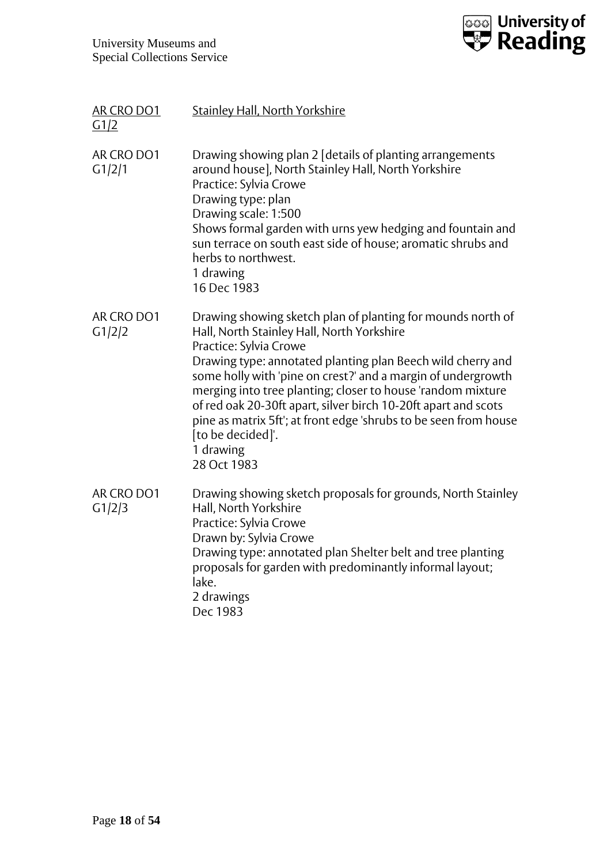

| AR CRO DO1<br>G1/2   | <b>Stainley Hall, North Yorkshire</b>                                                                                                                                                                                                                                                                                                                                                                                                                                                                                    |
|----------------------|--------------------------------------------------------------------------------------------------------------------------------------------------------------------------------------------------------------------------------------------------------------------------------------------------------------------------------------------------------------------------------------------------------------------------------------------------------------------------------------------------------------------------|
| AR CRO DO1<br>G1/2/1 | Drawing showing plan 2 [details of planting arrangements<br>around house], North Stainley Hall, North Yorkshire<br>Practice: Sylvia Crowe<br>Drawing type: plan<br>Drawing scale: 1:500<br>Shows formal garden with urns yew hedging and fountain and<br>sun terrace on south east side of house; aromatic shrubs and<br>herbs to northwest.<br>1 drawing<br>16 Dec 1983                                                                                                                                                 |
| AR CRO DO1<br>G1/2/2 | Drawing showing sketch plan of planting for mounds north of<br>Hall, North Stainley Hall, North Yorkshire<br>Practice: Sylvia Crowe<br>Drawing type: annotated planting plan Beech wild cherry and<br>some holly with 'pine on crest?' and a margin of undergrowth<br>merging into tree planting; closer to house 'random mixture<br>of red oak 20-30ft apart, silver birch 10-20ft apart and scots<br>pine as matrix 5ft'; at front edge 'shrubs to be seen from house<br>[to be decided]'.<br>1 drawing<br>28 Oct 1983 |
| AR CRO DO1<br>G1/2/3 | Drawing showing sketch proposals for grounds, North Stainley<br>Hall, North Yorkshire<br>Practice: Sylvia Crowe<br>Drawn by: Sylvia Crowe<br>Drawing type: annotated plan Shelter belt and tree planting<br>proposals for garden with predominantly informal layout;<br>lake.<br>2 drawings<br>Dec 1983                                                                                                                                                                                                                  |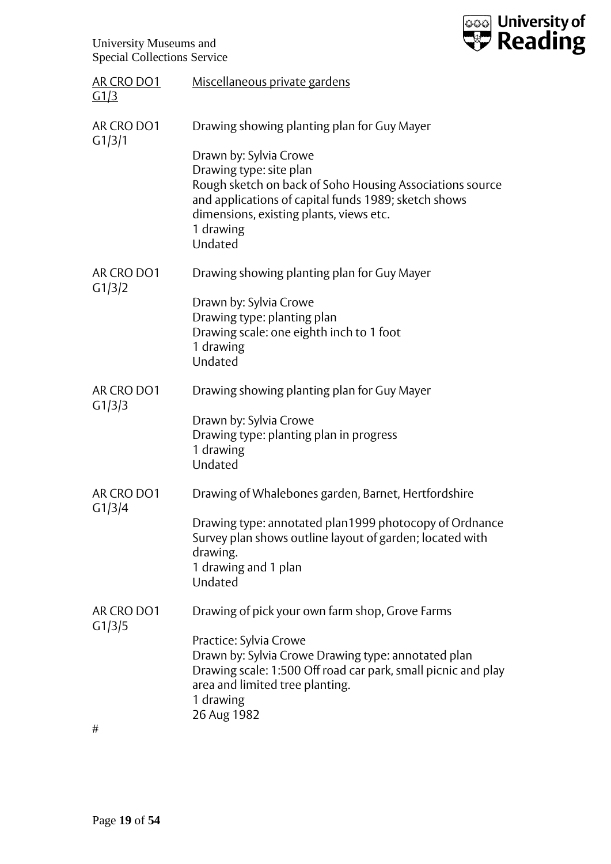

| AR CRO DO1<br>G1/3   | Miscellaneous private gardens                                                                                                                                                                                                                                                           |
|----------------------|-----------------------------------------------------------------------------------------------------------------------------------------------------------------------------------------------------------------------------------------------------------------------------------------|
| AR CRO DO1<br>G1/3/1 | Drawing showing planting plan for Guy Mayer<br>Drawn by: Sylvia Crowe<br>Drawing type: site plan<br>Rough sketch on back of Soho Housing Associations source<br>and applications of capital funds 1989; sketch shows<br>dimensions, existing plants, views etc.<br>1 drawing<br>Undated |
| AR CRO DO1<br>G1/3/2 | Drawing showing planting plan for Guy Mayer<br>Drawn by: Sylvia Crowe<br>Drawing type: planting plan<br>Drawing scale: one eighth inch to 1 foot<br>1 drawing<br>Undated                                                                                                                |
| AR CRO DO1<br>G1/3/3 | Drawing showing planting plan for Guy Mayer<br>Drawn by: Sylvia Crowe<br>Drawing type: planting plan in progress<br>1 drawing<br>Undated                                                                                                                                                |
| AR CRO DO1<br>G1/3/4 | Drawing of Whalebones garden, Barnet, Hertfordshire<br>Drawing type: annotated plan1999 photocopy of Ordnance<br>Survey plan shows outline layout of garden; located with<br>drawing.<br>1 drawing and 1 plan<br>Undated                                                                |
| AR CRO DO1<br>G1/3/5 | Drawing of pick your own farm shop, Grove Farms<br>Practice: Sylvia Crowe<br>Drawn by: Sylvia Crowe Drawing type: annotated plan<br>Drawing scale: 1:500 Off road car park, small picnic and play<br>area and limited tree planting.<br>1 drawing<br>26 Aug 1982                        |

#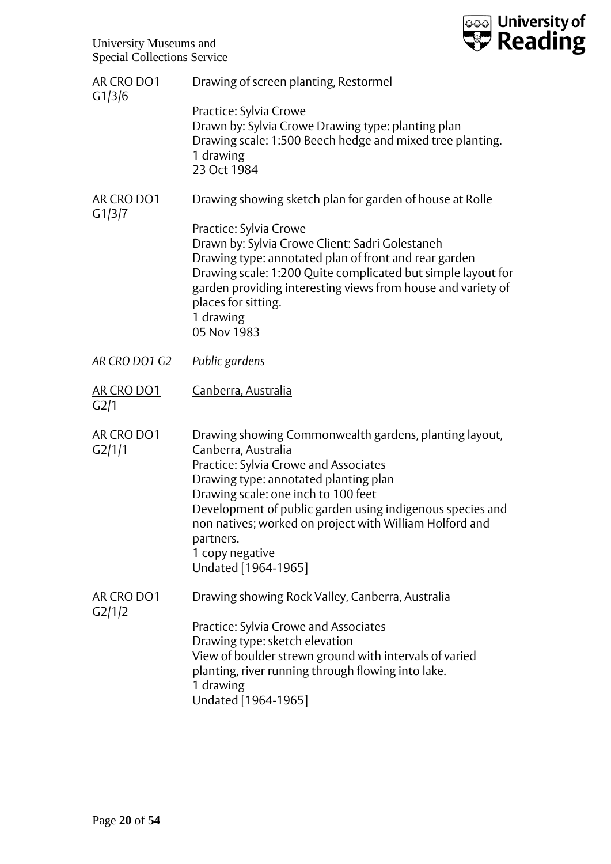| AR CRO DO1                       | Drawing of screen planting, Restormel                                                                                                                                                                                                                                                                                                                                                 |
|----------------------------------|---------------------------------------------------------------------------------------------------------------------------------------------------------------------------------------------------------------------------------------------------------------------------------------------------------------------------------------------------------------------------------------|
| G1/3/6                           | Practice: Sylvia Crowe<br>Drawn by: Sylvia Crowe Drawing type: planting plan<br>Drawing scale: 1:500 Beech hedge and mixed tree planting.<br>1 drawing<br>23 Oct 1984                                                                                                                                                                                                                 |
| AR CRO DO1                       | Drawing showing sketch plan for garden of house at Rolle                                                                                                                                                                                                                                                                                                                              |
| G1/3/7                           | Practice: Sylvia Crowe<br>Drawn by: Sylvia Crowe Client: Sadri Golestaneh<br>Drawing type: annotated plan of front and rear garden<br>Drawing scale: 1:200 Quite complicated but simple layout for<br>garden providing interesting views from house and variety of<br>places for sitting.<br>1 drawing<br>05 Nov 1983                                                                 |
| AR CRO DO1 G2                    | Public gardens                                                                                                                                                                                                                                                                                                                                                                        |
| <b>AR CRO DO1</b><br><u>G2/1</u> | <u> Canberra, Australia</u>                                                                                                                                                                                                                                                                                                                                                           |
| AR CRO DO1<br>G2/1/1             | Drawing showing Commonwealth gardens, planting layout,<br>Canberra, Australia<br>Practice: Sylvia Crowe and Associates<br>Drawing type: annotated planting plan<br>Drawing scale: one inch to 100 feet<br>Development of public garden using indigenous species and<br>non natives; worked on project with William Holford and<br>partners.<br>1 copy negative<br>Undated [1964-1965] |
| AR CRO DO1                       | Drawing showing Rock Valley, Canberra, Australia                                                                                                                                                                                                                                                                                                                                      |
| G2/1/2                           | Practice: Sylvia Crowe and Associates<br>Drawing type: sketch elevation<br>View of boulder strewn ground with intervals of varied<br>planting, river running through flowing into lake.<br>1 drawing<br>Undated [1964-1965]                                                                                                                                                           |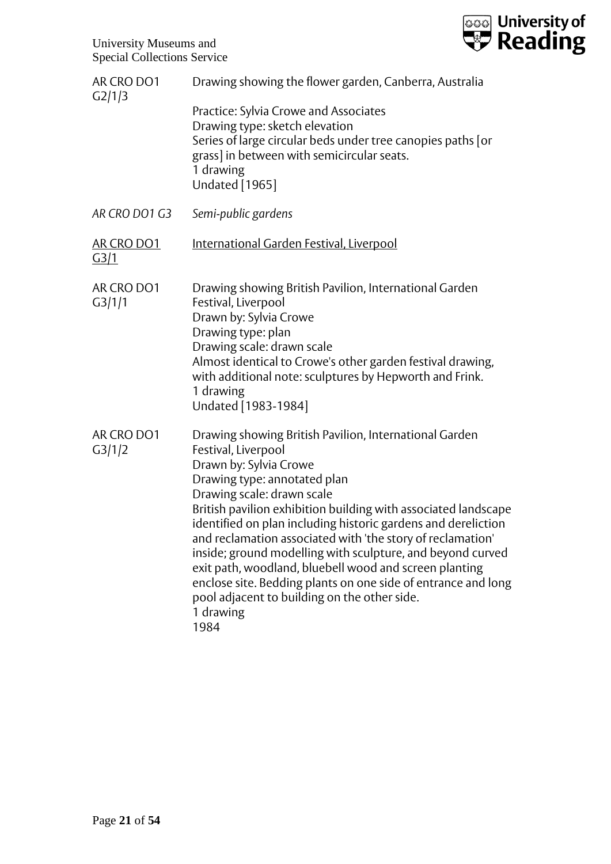| AR CRO DO1<br>G2/1/3      | Drawing showing the flower garden, Canberra, Australia                                                                                                                                                                                                                                                                                                                                                                                                                                                                                                                                                                               |
|---------------------------|--------------------------------------------------------------------------------------------------------------------------------------------------------------------------------------------------------------------------------------------------------------------------------------------------------------------------------------------------------------------------------------------------------------------------------------------------------------------------------------------------------------------------------------------------------------------------------------------------------------------------------------|
|                           | Practice: Sylvia Crowe and Associates<br>Drawing type: sketch elevation<br>Series of large circular beds under tree canopies paths [or<br>grass] in between with semicircular seats.<br>1 drawing<br><b>Undated</b> [1965]                                                                                                                                                                                                                                                                                                                                                                                                           |
| AR CRO DO1 G3             | Semi-public gardens                                                                                                                                                                                                                                                                                                                                                                                                                                                                                                                                                                                                                  |
| AR CRO DO1<br><u>G3/1</u> | <u>International Garden Festival, Liverpool</u>                                                                                                                                                                                                                                                                                                                                                                                                                                                                                                                                                                                      |
| AR CRO DO1<br>G3/1/1      | Drawing showing British Pavilion, International Garden<br>Festival, Liverpool<br>Drawn by: Sylvia Crowe<br>Drawing type: plan<br>Drawing scale: drawn scale<br>Almost identical to Crowe's other garden festival drawing,<br>with additional note: sculptures by Hepworth and Frink.<br>1 drawing<br>Undated [1983-1984]                                                                                                                                                                                                                                                                                                             |
| AR CRO DO1<br>G3/1/2      | Drawing showing British Pavilion, International Garden<br>Festival, Liverpool<br>Drawn by: Sylvia Crowe<br>Drawing type: annotated plan<br>Drawing scale: drawn scale<br>British pavilion exhibition building with associated landscape<br>identified on plan including historic gardens and dereliction<br>and reclamation associated with 'the story of reclamation'<br>inside; ground modelling with sculpture, and beyond curved<br>exit path, woodland, bluebell wood and screen planting<br>enclose site. Bedding plants on one side of entrance and long<br>pool adjacent to building on the other side.<br>1 drawing<br>1984 |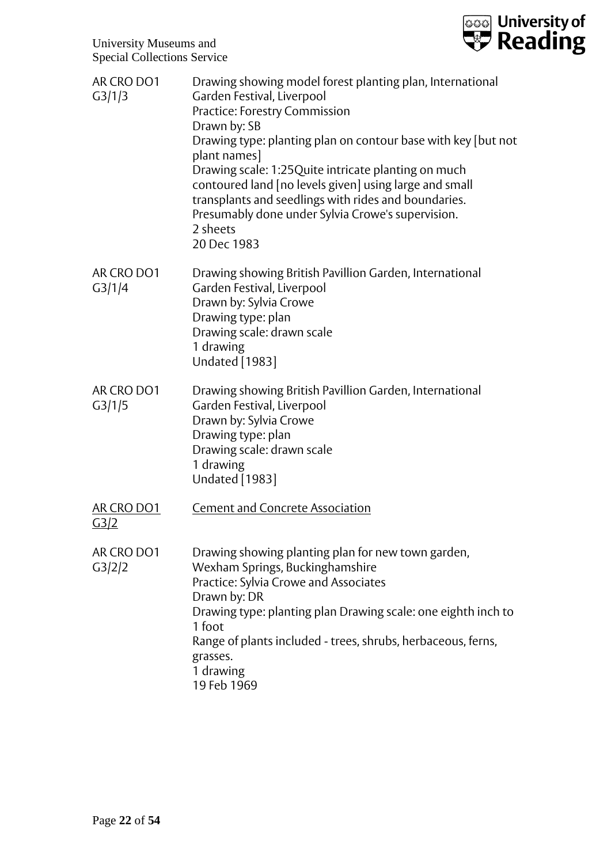

| AR CRO DO1<br>G3/1/3             | Drawing showing model forest planting plan, International<br>Garden Festival, Liverpool<br>Practice: Forestry Commission<br>Drawn by: SB<br>Drawing type: planting plan on contour base with key [but not<br>plant names]<br>Drawing scale: 1:25 Quite intricate planting on much<br>contoured land [no levels given] using large and small<br>transplants and seedlings with rides and boundaries.<br>Presumably done under Sylvia Crowe's supervision.<br>2 sheets<br>20 Dec 1983 |
|----------------------------------|-------------------------------------------------------------------------------------------------------------------------------------------------------------------------------------------------------------------------------------------------------------------------------------------------------------------------------------------------------------------------------------------------------------------------------------------------------------------------------------|
| AR CRO DO1<br>G3/1/4             | Drawing showing British Pavillion Garden, International<br>Garden Festival, Liverpool<br>Drawn by: Sylvia Crowe<br>Drawing type: plan<br>Drawing scale: drawn scale<br>1 drawing<br><b>Undated</b> [1983]                                                                                                                                                                                                                                                                           |
| AR CRO DO1<br>G3/1/5             | Drawing showing British Pavillion Garden, International<br>Garden Festival, Liverpool<br>Drawn by: Sylvia Crowe<br>Drawing type: plan<br>Drawing scale: drawn scale<br>1 drawing<br><b>Undated</b> [1983]                                                                                                                                                                                                                                                                           |
| <b>AR CRO DO1</b><br><u>G3/2</u> | <b>Cement and Concrete Association</b>                                                                                                                                                                                                                                                                                                                                                                                                                                              |
| AR CRO DO1<br>G3/2/2             | Drawing showing planting plan for new town garden,<br>Wexham Springs, Buckinghamshire<br>Practice: Sylvia Crowe and Associates<br>Drawn by: DR<br>Drawing type: planting plan Drawing scale: one eighth inch to<br>1 foot<br>Range of plants included - trees, shrubs, herbaceous, ferns,<br>grasses.<br>1 drawing<br>19 Feb 1969                                                                                                                                                   |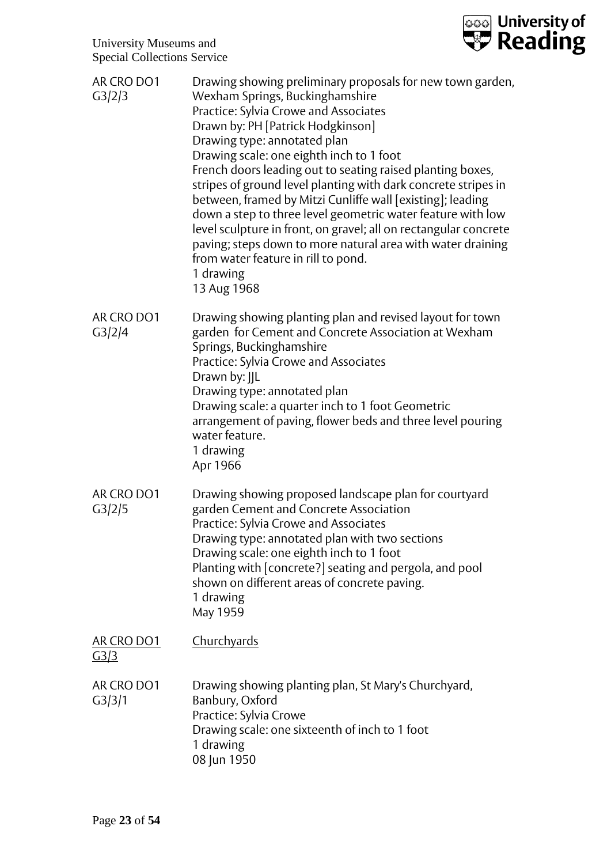

| AR CRO DO1<br>G3/2/3      | Drawing showing preliminary proposals for new town garden,<br>Wexham Springs, Buckinghamshire<br>Practice: Sylvia Crowe and Associates<br>Drawn by: PH [Patrick Hodgkinson]<br>Drawing type: annotated plan<br>Drawing scale: one eighth inch to 1 foot<br>French doors leading out to seating raised planting boxes,<br>stripes of ground level planting with dark concrete stripes in<br>between, framed by Mitzi Cunliffe wall [existing]; leading<br>down a step to three level geometric water feature with low<br>level sculpture in front, on gravel; all on rectangular concrete<br>paving; steps down to more natural area with water draining<br>from water feature in rill to pond.<br>1 drawing<br>13 Aug 1968 |
|---------------------------|----------------------------------------------------------------------------------------------------------------------------------------------------------------------------------------------------------------------------------------------------------------------------------------------------------------------------------------------------------------------------------------------------------------------------------------------------------------------------------------------------------------------------------------------------------------------------------------------------------------------------------------------------------------------------------------------------------------------------|
| AR CRO DO1<br>G3/2/4      | Drawing showing planting plan and revised layout for town<br>garden for Cement and Concrete Association at Wexham<br>Springs, Buckinghamshire<br>Practice: Sylvia Crowe and Associates<br>Drawn by: IIL<br>Drawing type: annotated plan<br>Drawing scale: a quarter inch to 1 foot Geometric<br>arrangement of paving, flower beds and three level pouring<br>water feature.<br>1 drawing<br>Apr 1966                                                                                                                                                                                                                                                                                                                      |
| AR CRO DO1<br>G3/2/5      | Drawing showing proposed landscape plan for courtyard<br>garden Cement and Concrete Association<br>Practice: Sylvia Crowe and Associates<br>Drawing type: annotated plan with two sections<br>Drawing scale: one eighth inch to 1 foot<br>Planting with [concrete?] seating and pergola, and pool<br>shown on different areas of concrete paving.<br>1 drawing<br>May 1959                                                                                                                                                                                                                                                                                                                                                 |
| AR CRO DO1<br><u>G3/3</u> | <u>Churchyards</u>                                                                                                                                                                                                                                                                                                                                                                                                                                                                                                                                                                                                                                                                                                         |
| AR CRO DO1<br>G3/3/1      | Drawing showing planting plan, St Mary's Churchyard,<br>Banbury, Oxford<br>Practice: Sylvia Crowe<br>Drawing scale: one sixteenth of inch to 1 foot<br>1 drawing<br>08 Jun 1950                                                                                                                                                                                                                                                                                                                                                                                                                                                                                                                                            |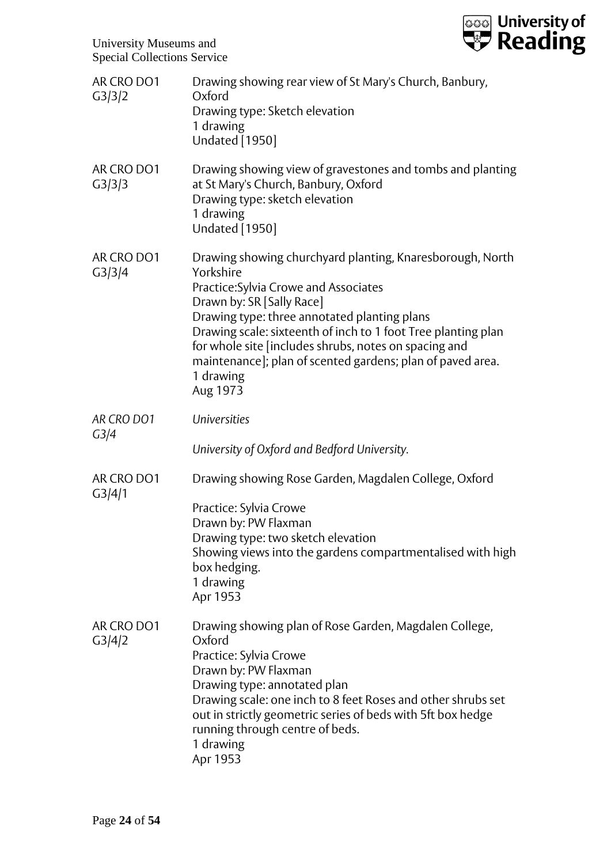

| AR CRO DO1<br>G3/3/2 | Drawing showing rear view of St Mary's Church, Banbury,<br>Oxford<br>Drawing type: Sketch elevation<br>1 drawing<br><b>Undated</b> [1950]                                                                                                                                                                                                                                                                     |
|----------------------|---------------------------------------------------------------------------------------------------------------------------------------------------------------------------------------------------------------------------------------------------------------------------------------------------------------------------------------------------------------------------------------------------------------|
| AR CRO DO1<br>G3/3/3 | Drawing showing view of gravestones and tombs and planting<br>at St Mary's Church, Banbury, Oxford<br>Drawing type: sketch elevation<br>1 drawing<br><b>Undated</b> [1950]                                                                                                                                                                                                                                    |
| AR CRO DO1<br>G3/3/4 | Drawing showing churchyard planting, Knaresborough, North<br>Yorkshire<br>Practice: Sylvia Crowe and Associates<br>Drawn by: SR [Sally Race]<br>Drawing type: three annotated planting plans<br>Drawing scale: sixteenth of inch to 1 foot Tree planting plan<br>for whole site [includes shrubs, notes on spacing and<br>maintenance]; plan of scented gardens; plan of paved area.<br>1 drawing<br>Aug 1973 |
| AR CRO DO1<br>G3/4   | <b>Universities</b>                                                                                                                                                                                                                                                                                                                                                                                           |
|                      | University of Oxford and Bedford University.                                                                                                                                                                                                                                                                                                                                                                  |
| AR CRO DO1<br>G3/4/1 | Drawing showing Rose Garden, Magdalen College, Oxford                                                                                                                                                                                                                                                                                                                                                         |
|                      | Practice: Sylvia Crowe                                                                                                                                                                                                                                                                                                                                                                                        |
|                      | Drawn by: PW Flaxman<br>Drawing type: two sketch elevation                                                                                                                                                                                                                                                                                                                                                    |
|                      | Showing views into the gardens compartmentalised with high<br>box hedging.<br>1 drawing<br>Apr 1953                                                                                                                                                                                                                                                                                                           |
| AR CRO DO1<br>G3/4/2 | Drawing showing plan of Rose Garden, Magdalen College,<br>Oxford<br>Practice: Sylvia Crowe<br>Drawn by: PW Flaxman<br>Drawing type: annotated plan<br>Drawing scale: one inch to 8 feet Roses and other shrubs set<br>out in strictly geometric series of beds with 5ft box hedge<br>running through centre of beds.<br>1 drawing<br>Apr 1953                                                                 |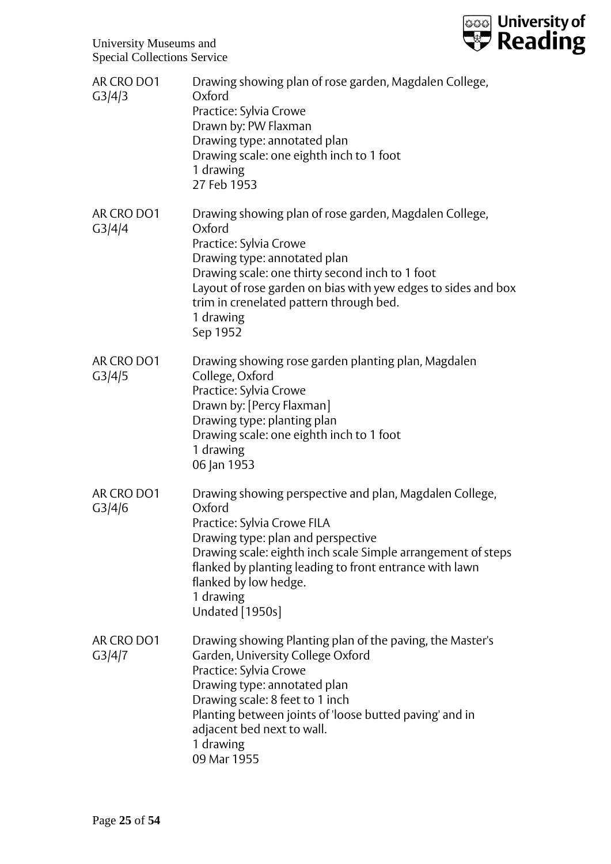

| AR CRO DO1<br>G3/4/3 | Drawing showing plan of rose garden, Magdalen College,<br>Oxford<br>Practice: Sylvia Crowe<br>Drawn by: PW Flaxman<br>Drawing type: annotated plan<br>Drawing scale: one eighth inch to 1 foot<br>1 drawing<br>27 Feb 1953                                                                                                 |
|----------------------|----------------------------------------------------------------------------------------------------------------------------------------------------------------------------------------------------------------------------------------------------------------------------------------------------------------------------|
| AR CRO DO1<br>G3/4/4 | Drawing showing plan of rose garden, Magdalen College,<br>Oxford<br>Practice: Sylvia Crowe<br>Drawing type: annotated plan<br>Drawing scale: one thirty second inch to 1 foot<br>Layout of rose garden on bias with yew edges to sides and box<br>trim in crenelated pattern through bed.<br>1 drawing<br>Sep 1952         |
| AR CRO DO1<br>G3/4/5 | Drawing showing rose garden planting plan, Magdalen<br>College, Oxford<br>Practice: Sylvia Crowe<br>Drawn by: [Percy Flaxman]<br>Drawing type: planting plan<br>Drawing scale: one eighth inch to 1 foot<br>1 drawing<br>06 Jan 1953                                                                                       |
| AR CRO DO1<br>G3/4/6 | Drawing showing perspective and plan, Magdalen College,<br>Oxford<br>Practice: Sylvia Crowe FILA<br>Drawing type: plan and perspective<br>Drawing scale: eighth inch scale Simple arrangement of steps<br>flanked by planting leading to front entrance with lawn<br>flanked by low hedge.<br>1 drawing<br>Undated [1950s] |
| AR CRO DO1<br>G3/4/7 | Drawing showing Planting plan of the paving, the Master's<br>Garden, University College Oxford<br>Practice: Sylvia Crowe<br>Drawing type: annotated plan<br>Drawing scale: 8 feet to 1 inch<br>Planting between joints of 'loose butted paving' and in<br>adjacent bed next to wall.<br>1 drawing<br>09 Mar 1955           |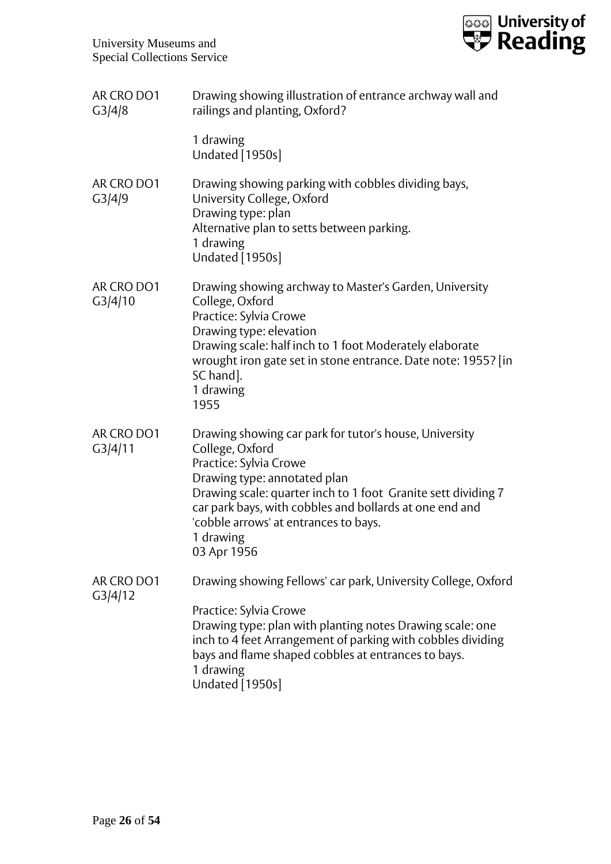

| AR CRO DO1<br>G3/4/8  | Drawing showing illustration of entrance archway wall and<br>railings and planting, Oxford?                                                                                                                                                                                                                                          |
|-----------------------|--------------------------------------------------------------------------------------------------------------------------------------------------------------------------------------------------------------------------------------------------------------------------------------------------------------------------------------|
|                       | 1 drawing<br>Undated [1950s]                                                                                                                                                                                                                                                                                                         |
| AR CRO DO1<br>G3/4/9  | Drawing showing parking with cobbles dividing bays,<br>University College, Oxford<br>Drawing type: plan<br>Alternative plan to setts between parking.<br>1 drawing<br>Undated [1950s]                                                                                                                                                |
| AR CRO DO1<br>G3/4/10 | Drawing showing archway to Master's Garden, University<br>College, Oxford<br>Practice: Sylvia Crowe<br>Drawing type: elevation<br>Drawing scale: half inch to 1 foot Moderately elaborate<br>wrought iron gate set in stone entrance. Date note: 1955? [in<br>SC hand].<br>1 drawing<br>1955                                         |
| AR CRO DO1<br>G3/4/11 | Drawing showing car park for tutor's house, University<br>College, Oxford<br>Practice: Sylvia Crowe<br>Drawing type: annotated plan<br>Drawing scale: quarter inch to 1 foot Granite sett dividing 7<br>car park bays, with cobbles and bollards at one end and<br>'cobble arrows' at entrances to bays.<br>1 drawing<br>03 Apr 1956 |
| AR CRO DO1<br>G3/4/12 | Drawing showing Fellows' car park, University College, Oxford<br>Practice: Sylvia Crowe<br>Drawing type: plan with planting notes Drawing scale: one<br>inch to 4 feet Arrangement of parking with cobbles dividing<br>bays and flame shaped cobbles at entrances to bays.<br>1 drawing<br>Undated [1950s]                           |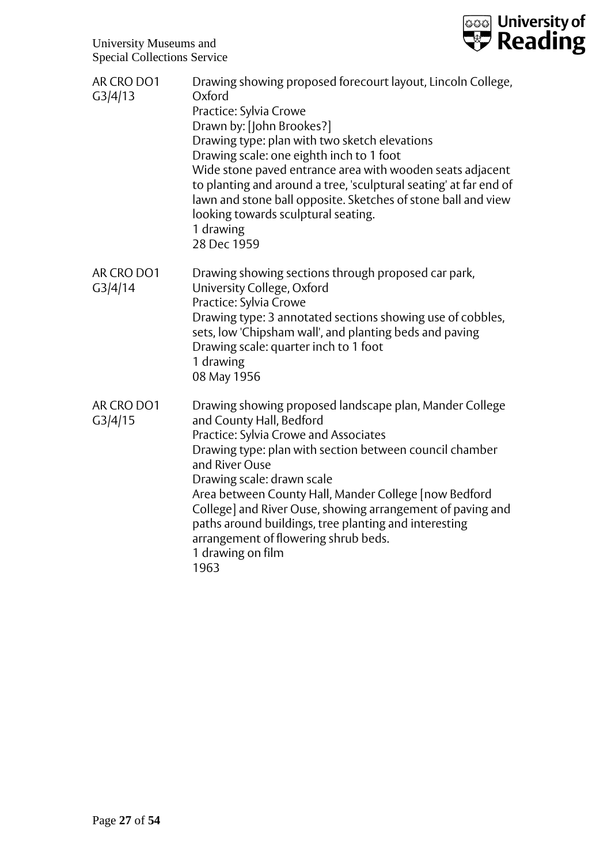

| AR CRO DO1<br>G3/4/13 | Drawing showing proposed forecourt layout, Lincoln College,<br>Oxford<br>Practice: Sylvia Crowe<br>Drawn by: [John Brookes?]<br>Drawing type: plan with two sketch elevations<br>Drawing scale: one eighth inch to 1 foot<br>Wide stone paved entrance area with wooden seats adjacent<br>to planting and around a tree, 'sculptural seating' at far end of<br>lawn and stone ball opposite. Sketches of stone ball and view<br>looking towards sculptural seating.<br>1 drawing<br>28 Dec 1959 |
|-----------------------|-------------------------------------------------------------------------------------------------------------------------------------------------------------------------------------------------------------------------------------------------------------------------------------------------------------------------------------------------------------------------------------------------------------------------------------------------------------------------------------------------|
| AR CRO DO1<br>G3/4/14 | Drawing showing sections through proposed car park,<br>University College, Oxford<br>Practice: Sylvia Crowe<br>Drawing type: 3 annotated sections showing use of cobbles,<br>sets, low 'Chipsham wall', and planting beds and paving<br>Drawing scale: quarter inch to 1 foot<br>1 drawing<br>08 May 1956                                                                                                                                                                                       |
| AR CRO DO1<br>G3/4/15 | Drawing showing proposed landscape plan, Mander College<br>and County Hall, Bedford<br>Practice: Sylvia Crowe and Associates<br>Drawing type: plan with section between council chamber<br>and River Ouse<br>Drawing scale: drawn scale<br>Area between County Hall, Mander College [now Bedford<br>College] and River Ouse, showing arrangement of paving and<br>paths around buildings, tree planting and interesting<br>arrangement of flowering shrub beds.<br>1 drawing on film<br>1963    |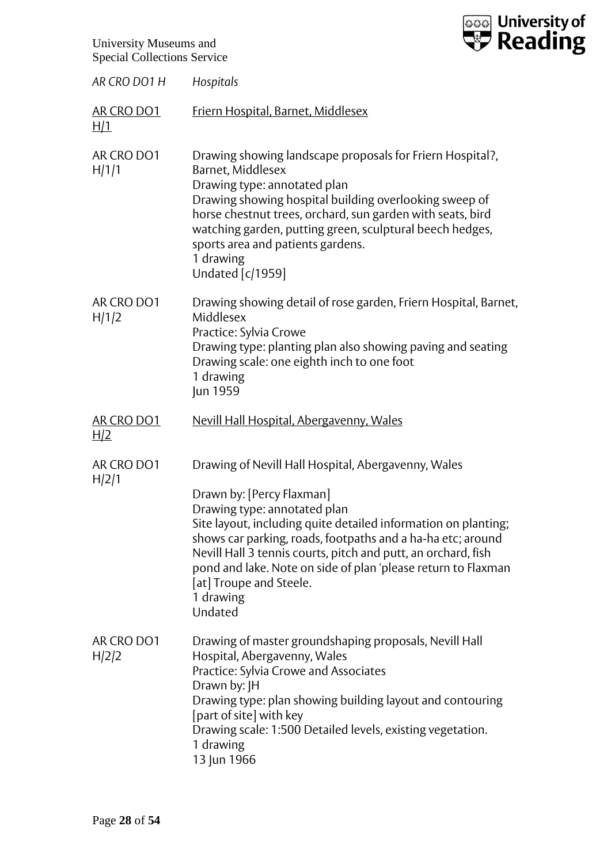| <b>Tool</b> University of |  |
|---------------------------|--|

| AR CRO DO1 H             | Hospitals                                                                                                                                                                                                                                                                                                                                                                                                                              |
|--------------------------|----------------------------------------------------------------------------------------------------------------------------------------------------------------------------------------------------------------------------------------------------------------------------------------------------------------------------------------------------------------------------------------------------------------------------------------|
| AR CRO DO1<br>H/1        | <b>Friern Hospital, Barnet, Middlesex</b>                                                                                                                                                                                                                                                                                                                                                                                              |
| AR CRO DO1<br>H/1/1      | Drawing showing landscape proposals for Friern Hospital?,<br>Barnet, Middlesex<br>Drawing type: annotated plan<br>Drawing showing hospital building overlooking sweep of<br>horse chestnut trees, orchard, sun garden with seats, bird<br>watching garden, putting green, sculptural beech hedges,<br>sports area and patients gardens.<br>1 drawing<br><b>Undated [c/1959]</b>                                                        |
| AR CRO DO1<br>H/1/2      | Drawing showing detail of rose garden, Friern Hospital, Barnet,<br>Middlesex<br>Practice: Sylvia Crowe<br>Drawing type: planting plan also showing paving and seating<br>Drawing scale: one eighth inch to one foot<br>1 drawing<br>Jun 1959                                                                                                                                                                                           |
| AR CRO DO1<br><u>H/2</u> | Nevill Hall Hospital, Abergavenny, Wales                                                                                                                                                                                                                                                                                                                                                                                               |
| AR CRO DO1<br>H/2/1      | Drawing of Nevill Hall Hospital, Abergavenny, Wales<br>Drawn by: [Percy Flaxman]<br>Drawing type: annotated plan<br>Site layout, including quite detailed information on planting;<br>shows car parking, roads, footpaths and a ha-ha etc; around<br>Nevill Hall 3 tennis courts, pitch and putt, an orchard, fish<br>pond and lake. Note on side of plan 'please return to Flaxman<br>[at] Troupe and Steele.<br>1 drawing<br>Undated |
| AR CRO DO1<br>H/2/2      | Drawing of master groundshaping proposals, Nevill Hall<br>Hospital, Abergavenny, Wales<br>Practice: Sylvia Crowe and Associates<br>Drawn by: JH<br>Drawing type: plan showing building layout and contouring<br>[part of site] with key<br>Drawing scale: 1:500 Detailed levels, existing vegetation.<br>1 drawing<br>13 Jun 1966                                                                                                      |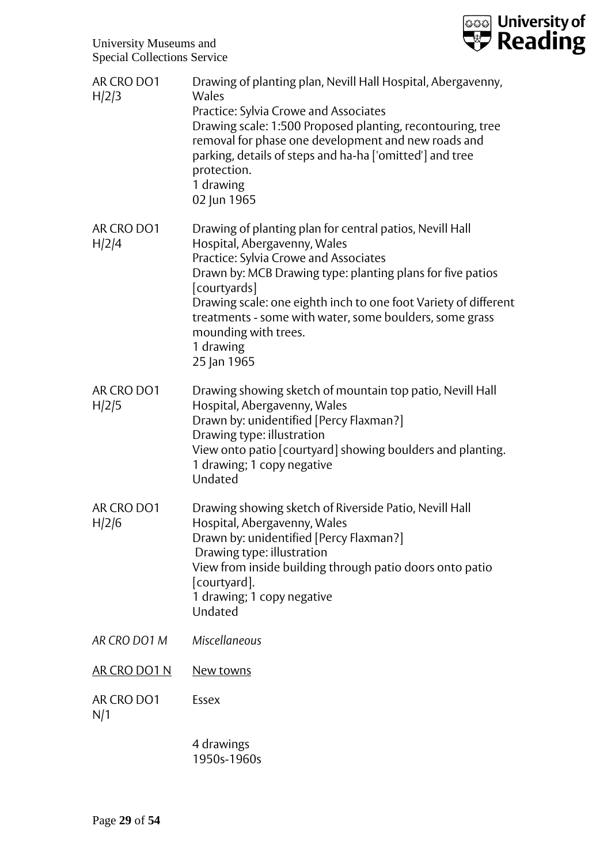

| AR CRO DO1<br>H/2/3 | Drawing of planting plan, Nevill Hall Hospital, Abergavenny,<br>Wales<br>Practice: Sylvia Crowe and Associates<br>Drawing scale: 1:500 Proposed planting, recontouring, tree<br>removal for phase one development and new roads and<br>parking, details of steps and ha-ha ['omitted'] and tree<br>protection.<br>1 drawing<br>02 Jun 1965                                                        |
|---------------------|---------------------------------------------------------------------------------------------------------------------------------------------------------------------------------------------------------------------------------------------------------------------------------------------------------------------------------------------------------------------------------------------------|
| AR CRO DO1<br>H/2/4 | Drawing of planting plan for central patios, Nevill Hall<br>Hospital, Abergavenny, Wales<br>Practice: Sylvia Crowe and Associates<br>Drawn by: MCB Drawing type: planting plans for five patios<br>[courtyards]<br>Drawing scale: one eighth inch to one foot Variety of different<br>treatments - some with water, some boulders, some grass<br>mounding with trees.<br>1 drawing<br>25 Jan 1965 |
| AR CRO DO1<br>H/2/5 | Drawing showing sketch of mountain top patio, Nevill Hall<br>Hospital, Abergavenny, Wales<br>Drawn by: unidentified [Percy Flaxman?]<br>Drawing type: illustration<br>View onto patio [courtyard] showing boulders and planting.<br>1 drawing; 1 copy negative<br>Undated                                                                                                                         |
| AR CRO DO1<br>H/2/6 | Drawing showing sketch of Riverside Patio, Nevill Hall<br>Hospital, Abergavenny, Wales<br>Drawn by: unidentified [Percy Flaxman?]<br>Drawing type: illustration<br>View from inside building through patio doors onto patio<br>[courtyard].<br>1 drawing; 1 copy negative<br>Undated                                                                                                              |
| AR CRO DO1 M        | Miscellaneous                                                                                                                                                                                                                                                                                                                                                                                     |
| AR CRO DO1 N        | New towns                                                                                                                                                                                                                                                                                                                                                                                         |
| AR CRO DO1<br>N/1   | Essex                                                                                                                                                                                                                                                                                                                                                                                             |
|                     | 4 drawings                                                                                                                                                                                                                                                                                                                                                                                        |

1950s-1960s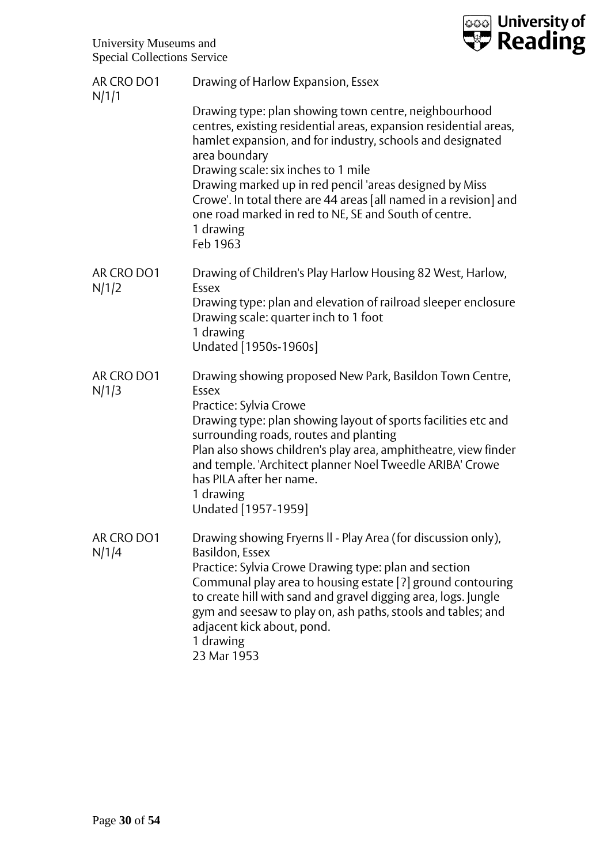

| AR CRO DO1<br>N/1/1 | Drawing of Harlow Expansion, Essex                                                                                                                                                                                                                                                                                                                                                                                                                                 |
|---------------------|--------------------------------------------------------------------------------------------------------------------------------------------------------------------------------------------------------------------------------------------------------------------------------------------------------------------------------------------------------------------------------------------------------------------------------------------------------------------|
|                     | Drawing type: plan showing town centre, neighbourhood<br>centres, existing residential areas, expansion residential areas,<br>hamlet expansion, and for industry, schools and designated<br>area boundary<br>Drawing scale: six inches to 1 mile<br>Drawing marked up in red pencil 'areas designed by Miss<br>Crowe'. In total there are 44 areas [all named in a revision] and<br>one road marked in red to NE, SE and South of centre.<br>1 drawing<br>Feb 1963 |
| AR CRO DO1          | Drawing of Children's Play Harlow Housing 82 West, Harlow,<br>Essex                                                                                                                                                                                                                                                                                                                                                                                                |
| N/1/2               | Drawing type: plan and elevation of railroad sleeper enclosure<br>Drawing scale: quarter inch to 1 foot<br>1 drawing<br>Undated [1950s-1960s]                                                                                                                                                                                                                                                                                                                      |
| AR CRO DO1<br>N/1/3 | Drawing showing proposed New Park, Basildon Town Centre,<br>Essex<br>Practice: Sylvia Crowe<br>Drawing type: plan showing layout of sports facilities etc and<br>surrounding roads, routes and planting<br>Plan also shows children's play area, amphitheatre, view finder<br>and temple. 'Architect planner Noel Tweedle ARIBA' Crowe<br>has PILA after her name.<br>1 drawing<br>Undated [1957-1959]                                                             |
| AR CRO DO1<br>N/1/4 | Drawing showing Fryerns II - Play Area (for discussion only),<br>Basildon, Essex<br>Practice: Sylvia Crowe Drawing type: plan and section<br>Communal play area to housing estate [?] ground contouring<br>to create hill with sand and gravel digging area, logs. Jungle<br>gym and seesaw to play on, ash paths, stools and tables; and<br>adjacent kick about, pond.<br>1 drawing<br>23 Mar 1953                                                                |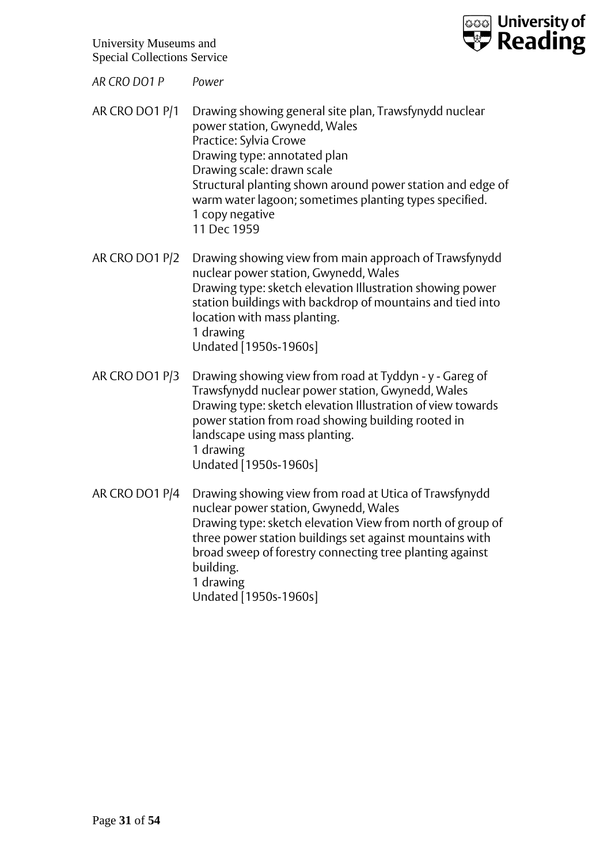

*AR CRO DO1 P Power*

- AR CRO DO1 P/1 Drawing showing general site plan, Trawsfynydd nuclear power station, Gwynedd, Wales Practice: Sylvia Crowe Drawing type: annotated plan Drawing scale: drawn scale Structural planting shown around power station and edge of warm water lagoon; sometimes planting types specified. 1 copy negative 11 Dec 1959
- AR CRO DO1 P/2 Drawing showing view from main approach of Trawsfynydd nuclear power station, Gwynedd, Wales Drawing type: sketch elevation Illustration showing power station buildings with backdrop of mountains and tied into location with mass planting. 1 drawing Undated [1950s-1960s]
- AR CRO DO1 P/3 Drawing showing view from road at Tyddyn y Gareg of Trawsfynydd nuclear power station, Gwynedd, Wales Drawing type: sketch elevation Illustration of view towards power station from road showing building rooted in landscape using mass planting. 1 drawing Undated [1950s-1960s]
- AR CRO DO1 P/4 Drawing showing view from road at Utica of Trawsfynydd nuclear power station, Gwynedd, Wales Drawing type: sketch elevation View from north of group of three power station buildings set against mountains with broad sweep of forestry connecting tree planting against building. 1 drawing Undated [1950s-1960s]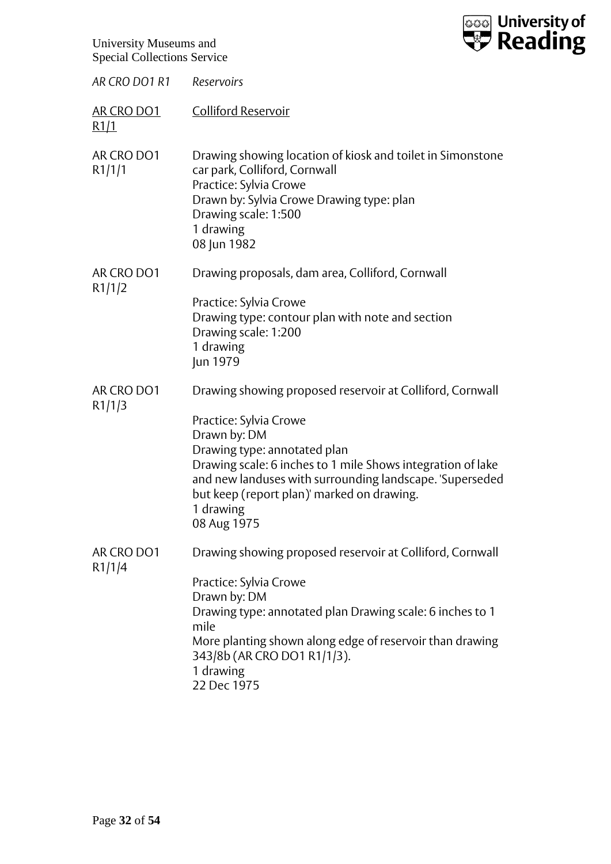

| AR CRO DO1 R1        | Reservoirs                                                                                                                                                                                                                                                                  |
|----------------------|-----------------------------------------------------------------------------------------------------------------------------------------------------------------------------------------------------------------------------------------------------------------------------|
| AR CRO DO1<br>R1/1   | <b>Colliford Reservoir</b>                                                                                                                                                                                                                                                  |
| AR CRO DO1<br>R1/1/1 | Drawing showing location of kiosk and toilet in Simonstone<br>car park, Colliford, Cornwall<br>Practice: Sylvia Crowe<br>Drawn by: Sylvia Crowe Drawing type: plan<br>Drawing scale: 1:500<br>1 drawing<br>08 Jun 1982                                                      |
| AR CRO DO1<br>R1/1/2 | Drawing proposals, dam area, Colliford, Cornwall                                                                                                                                                                                                                            |
|                      | Practice: Sylvia Crowe<br>Drawing type: contour plan with note and section<br>Drawing scale: 1:200<br>1 drawing<br>Jun 1979                                                                                                                                                 |
| AR CRO DO1<br>R1/1/3 | Drawing showing proposed reservoir at Colliford, Cornwall                                                                                                                                                                                                                   |
|                      | Practice: Sylvia Crowe<br>Drawn by: DM<br>Drawing type: annotated plan<br>Drawing scale: 6 inches to 1 mile Shows integration of lake<br>and new landuses with surrounding landscape. 'Superseded<br>but keep (report plan)' marked on drawing.<br>1 drawing<br>08 Aug 1975 |
| AR CRO DO1<br>R1/1/4 | Drawing showing proposed reservoir at Colliford, Cornwall                                                                                                                                                                                                                   |
|                      | Practice: Sylvia Crowe<br>Drawn by: DM<br>Drawing type: annotated plan Drawing scale: 6 inches to 1<br>mile<br>More planting shown along edge of reservoir than drawing<br>343/8b (AR CRO DO1 R1/1/3).<br>1 drawing<br>22 Dec 1975                                          |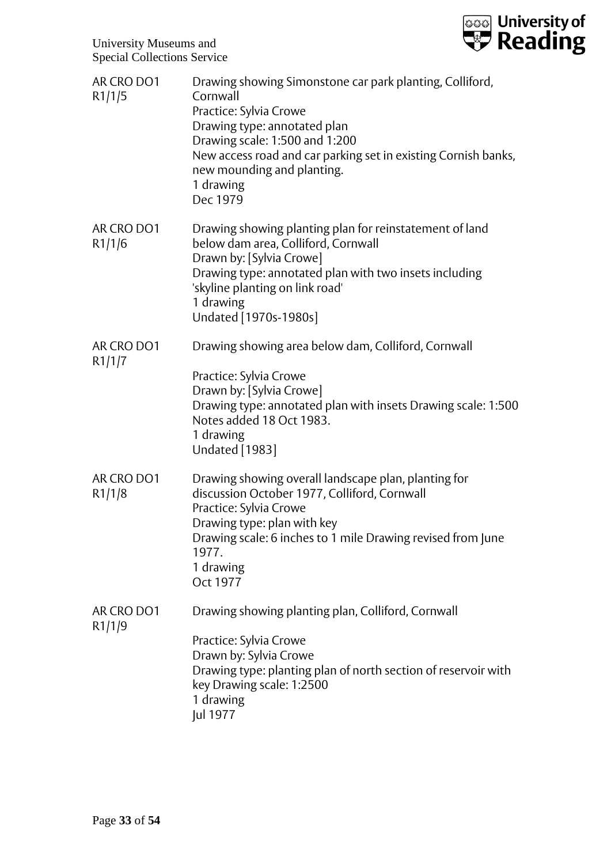

| AR CRO DO1<br>R1/1/5 | Drawing showing Simonstone car park planting, Colliford,<br>Cornwall<br>Practice: Sylvia Crowe<br>Drawing type: annotated plan<br>Drawing scale: 1:500 and 1:200<br>New access road and car parking set in existing Cornish banks,<br>new mounding and planting.<br>1 drawing<br>Dec 1979 |
|----------------------|-------------------------------------------------------------------------------------------------------------------------------------------------------------------------------------------------------------------------------------------------------------------------------------------|
| AR CRO DO1<br>R1/1/6 | Drawing showing planting plan for reinstatement of land<br>below dam area, Colliford, Cornwall<br>Drawn by: [Sylvia Crowe]<br>Drawing type: annotated plan with two insets including<br>'skyline planting on link road'<br>1 drawing<br>Undated [1970s-1980s]                             |
| AR CRO DO1<br>R1/1/7 | Drawing showing area below dam, Colliford, Cornwall<br>Practice: Sylvia Crowe<br>Drawn by: [Sylvia Crowe]<br>Drawing type: annotated plan with insets Drawing scale: 1:500<br>Notes added 18 Oct 1983.<br>1 drawing<br><b>Undated</b> [1983]                                              |
| AR CRO DO1<br>R1/1/8 | Drawing showing overall landscape plan, planting for<br>discussion October 1977, Colliford, Cornwall<br>Practice: Sylvia Crowe<br>Drawing type: plan with key<br>Drawing scale: 6 inches to 1 mile Drawing revised from June<br>1977.<br>1 drawing<br>Oct 1977                            |
| AR CRO DO1<br>R1/1/9 | Drawing showing planting plan, Colliford, Cornwall<br>Practice: Sylvia Crowe<br>Drawn by: Sylvia Crowe<br>Drawing type: planting plan of north section of reservoir with<br>key Drawing scale: 1:2500<br>1 drawing<br>Jul 1977                                                            |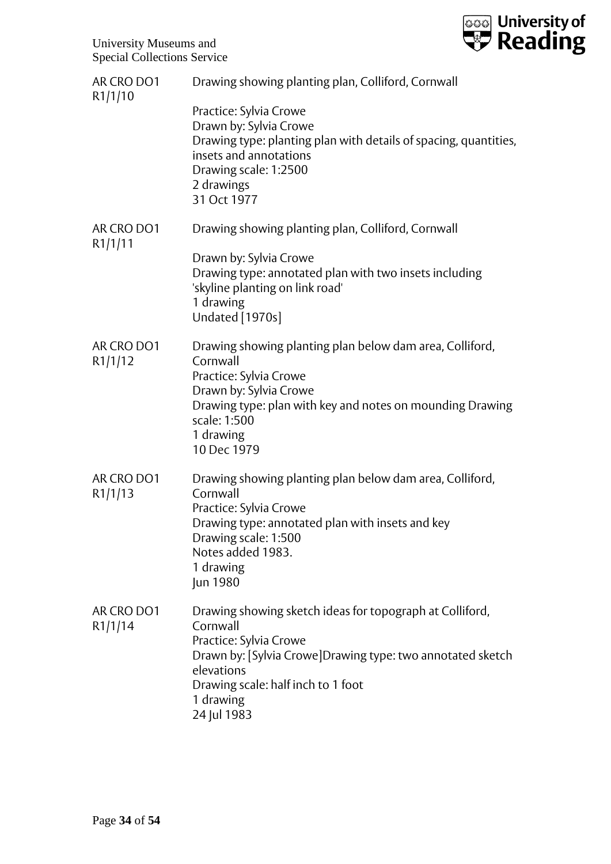

| AR CRO DO1            | Drawing showing planting plan, Colliford, Cornwall                                                                                                                                                                                           |
|-----------------------|----------------------------------------------------------------------------------------------------------------------------------------------------------------------------------------------------------------------------------------------|
| R1/1/10               | Practice: Sylvia Crowe<br>Drawn by: Sylvia Crowe<br>Drawing type: planting plan with details of spacing, quantities,<br>insets and annotations<br>Drawing scale: 1:2500<br>2 drawings<br>31 Oct 1977                                         |
| AR CRO DO1<br>R1/1/11 | Drawing showing planting plan, Colliford, Cornwall                                                                                                                                                                                           |
|                       | Drawn by: Sylvia Crowe<br>Drawing type: annotated plan with two insets including<br>'skyline planting on link road'<br>1 drawing<br>Undated [1970s]                                                                                          |
| AR CRO DO1<br>R1/1/12 | Drawing showing planting plan below dam area, Colliford,<br>Cornwall<br>Practice: Sylvia Crowe<br>Drawn by: Sylvia Crowe<br>Drawing type: plan with key and notes on mounding Drawing<br>scale: 1:500<br>1 drawing<br>10 Dec 1979            |
| AR CRO DO1<br>R1/1/13 | Drawing showing planting plan below dam area, Colliford,<br>Cornwall<br>Practice: Sylvia Crowe<br>Drawing type: annotated plan with insets and key<br>Drawing scale: 1:500<br>Notes added 1983.<br>1 drawing<br>Jun 1980                     |
| AR CRO DO1<br>R1/1/14 | Drawing showing sketch ideas for topograph at Colliford,<br>Cornwall<br>Practice: Sylvia Crowe<br>Drawn by: [Sylvia Crowe]Drawing type: two annotated sketch<br>elevations<br>Drawing scale: half inch to 1 foot<br>1 drawing<br>24 Jul 1983 |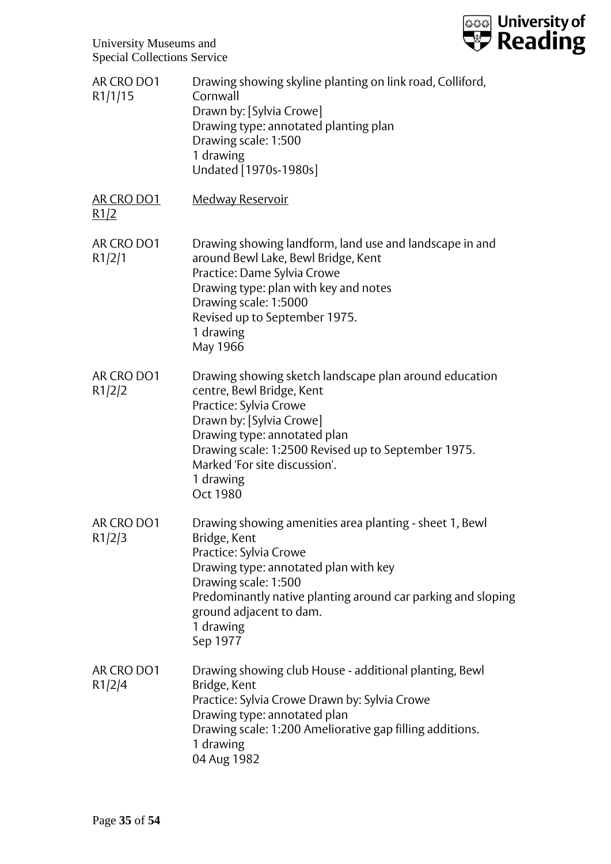

| AR CRO DO1<br>R1/1/15     | Drawing showing skyline planting on link road, Colliford,<br>Cornwall<br>Drawn by: [Sylvia Crowe]<br>Drawing type: annotated planting plan<br>Drawing scale: 1:500<br>1 drawing<br>Undated [1970s-1980s]                                                                                          |
|---------------------------|---------------------------------------------------------------------------------------------------------------------------------------------------------------------------------------------------------------------------------------------------------------------------------------------------|
| <b>AR CRO DO1</b><br>R1/2 | <b>Medway Reservoir</b>                                                                                                                                                                                                                                                                           |
| AR CRO DO1<br>R1/2/1      | Drawing showing landform, land use and landscape in and<br>around Bewl Lake, Bewl Bridge, Kent<br>Practice: Dame Sylvia Crowe<br>Drawing type: plan with key and notes<br>Drawing scale: 1:5000<br>Revised up to September 1975.<br>1 drawing<br>May 1966                                         |
| AR CRO DO1<br>R1/2/2      | Drawing showing sketch landscape plan around education<br>centre, Bewl Bridge, Kent<br>Practice: Sylvia Crowe<br>Drawn by: [Sylvia Crowe]<br>Drawing type: annotated plan<br>Drawing scale: 1:2500 Revised up to September 1975.<br>Marked 'For site discussion'.<br>1 drawing<br><b>Oct 1980</b> |
| AR CRO DO1<br>R1/2/3      | Drawing showing amenities area planting - sheet 1, Bewl<br>Bridge, Kent<br>Practice: Sylvia Crowe<br>Drawing type: annotated plan with key<br>Drawing scale: 1:500<br>Predominantly native planting around car parking and sloping<br>ground adjacent to dam.<br>1 drawing<br>Sep 1977            |
| AR CRO DO1<br>R1/2/4      | Drawing showing club House - additional planting, Bewl<br>Bridge, Kent<br>Practice: Sylvia Crowe Drawn by: Sylvia Crowe<br>Drawing type: annotated plan<br>Drawing scale: 1:200 Ameliorative gap filling additions.<br>1 drawing<br>04 Aug 1982                                                   |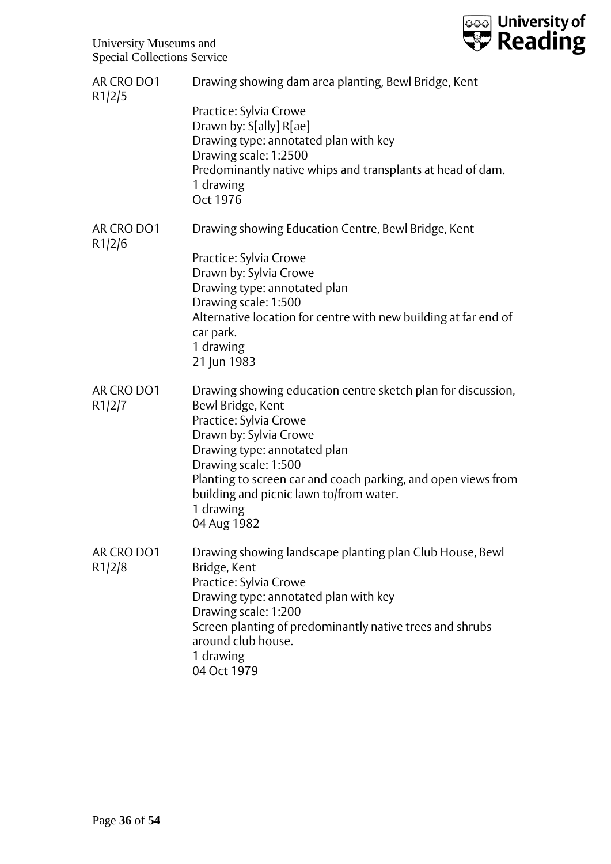

| AR CRO DO1<br>R1/2/5 | Drawing showing dam area planting, Bewl Bridge, Kent                                                                                                                                                                                                                                                                                  |
|----------------------|---------------------------------------------------------------------------------------------------------------------------------------------------------------------------------------------------------------------------------------------------------------------------------------------------------------------------------------|
|                      | Practice: Sylvia Crowe<br>Drawn by: S[ally] R[ae]<br>Drawing type: annotated plan with key<br>Drawing scale: 1:2500<br>Predominantly native whips and transplants at head of dam.                                                                                                                                                     |
|                      | 1 drawing<br>Oct 1976                                                                                                                                                                                                                                                                                                                 |
| AR CRO DO1<br>R1/2/6 | Drawing showing Education Centre, Bewl Bridge, Kent                                                                                                                                                                                                                                                                                   |
|                      | Practice: Sylvia Crowe<br>Drawn by: Sylvia Crowe<br>Drawing type: annotated plan<br>Drawing scale: 1:500<br>Alternative location for centre with new building at far end of<br>car park.<br>1 drawing<br>21 Jun 1983                                                                                                                  |
| AR CRO DO1<br>R1/2/7 | Drawing showing education centre sketch plan for discussion,<br>Bewl Bridge, Kent<br>Practice: Sylvia Crowe<br>Drawn by: Sylvia Crowe<br>Drawing type: annotated plan<br>Drawing scale: 1:500<br>Planting to screen car and coach parking, and open views from<br>building and picnic lawn to/from water.<br>1 drawing<br>04 Aug 1982 |
| AR CRO DO1<br>R1/2/8 | Drawing showing landscape planting plan Club House, Bewl<br>Bridge, Kent<br>Practice: Sylvia Crowe<br>Drawing type: annotated plan with key<br>Drawing scale: 1:200<br>Screen planting of predominantly native trees and shrubs<br>around club house.<br>1 drawing<br>04 Oct 1979                                                     |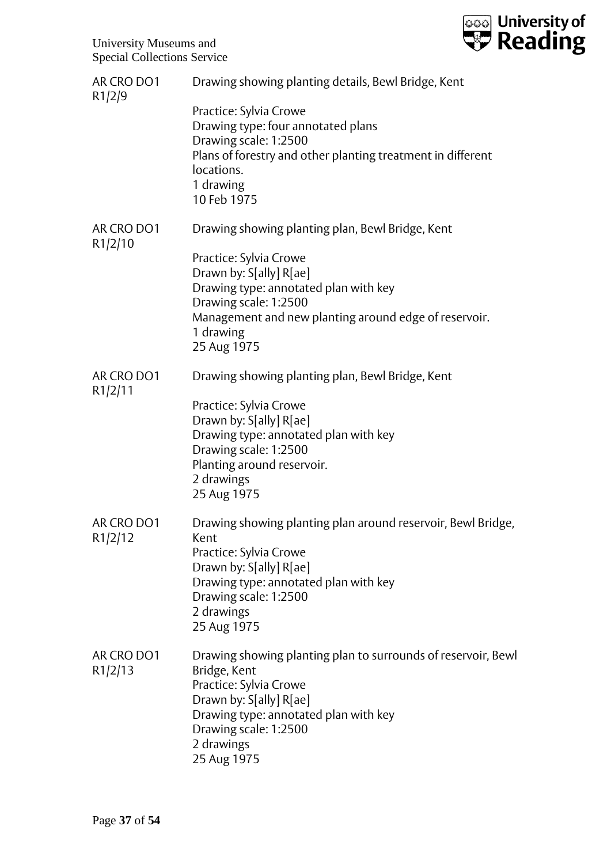

| AR CRO DO1<br>R1/2/9  | Drawing showing planting details, Bewl Bridge, Kent                                                                                                                                                                               |
|-----------------------|-----------------------------------------------------------------------------------------------------------------------------------------------------------------------------------------------------------------------------------|
|                       | Practice: Sylvia Crowe<br>Drawing type: four annotated plans<br>Drawing scale: 1:2500<br>Plans of forestry and other planting treatment in different<br>locations.<br>1 drawing<br>10 Feb 1975                                    |
| AR CRO DO1<br>R1/2/10 | Drawing showing planting plan, Bewl Bridge, Kent                                                                                                                                                                                  |
|                       | Practice: Sylvia Crowe<br>Drawn by: S[ally] R[ae]<br>Drawing type: annotated plan with key<br>Drawing scale: 1:2500<br>Management and new planting around edge of reservoir.<br>1 drawing<br>25 Aug 1975                          |
| AR CRO DO1<br>R1/2/11 | Drawing showing planting plan, Bewl Bridge, Kent                                                                                                                                                                                  |
|                       | Practice: Sylvia Crowe<br>Drawn by: S[ally] R[ae]<br>Drawing type: annotated plan with key<br>Drawing scale: 1:2500<br>Planting around reservoir.<br>2 drawings<br>25 Aug 1975                                                    |
| AR CRO DO1<br>R1/2/12 | Drawing showing planting plan around reservoir, Bewl Bridge,<br>Kent<br>Practice: Sylvia Crowe<br>Drawn by: S[ally] R[ae]<br>Drawing type: annotated plan with key<br>Drawing scale: 1:2500<br>2 drawings<br>25 Aug 1975          |
| AR CRO DO1<br>R1/2/13 | Drawing showing planting plan to surrounds of reservoir, Bewl<br>Bridge, Kent<br>Practice: Sylvia Crowe<br>Drawn by: S[ally] R[ae]<br>Drawing type: annotated plan with key<br>Drawing scale: 1:2500<br>2 drawings<br>25 Aug 1975 |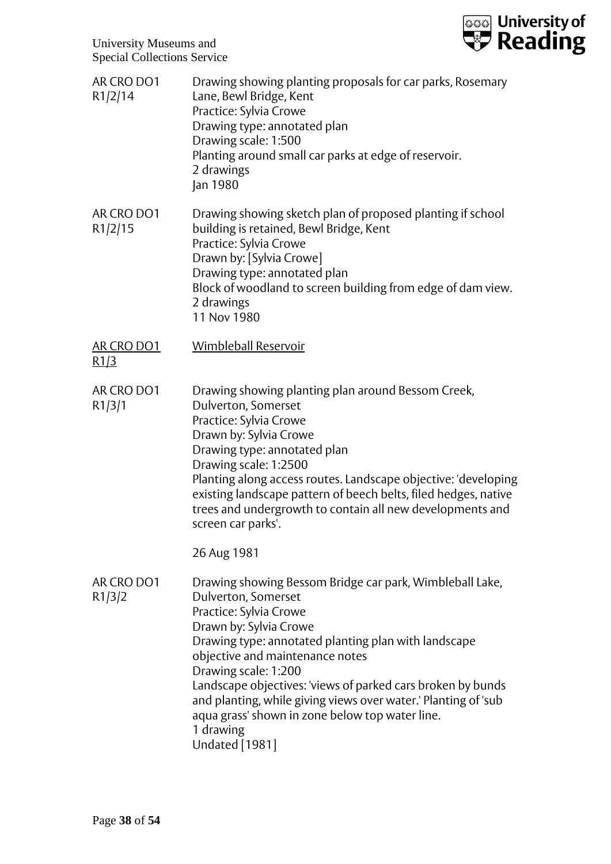

| AR CRO DO1<br>R1/2/14     | Drawing showing planting proposals for car parks, Rosemary<br>Lane, Bewl Bridge, Kent<br>Practice: Sylvia Crowe<br>Drawing type: annotated plan<br>Drawing scale: 1:500<br>Planting around small car parks at edge of reservoir.<br>2 drawings<br>Jan 1980                                                                                                                                                                                                                       |
|---------------------------|----------------------------------------------------------------------------------------------------------------------------------------------------------------------------------------------------------------------------------------------------------------------------------------------------------------------------------------------------------------------------------------------------------------------------------------------------------------------------------|
| AR CRO DO1<br>R1/2/15     | Drawing showing sketch plan of proposed planting if school<br>building is retained, Bewl Bridge, Kent<br>Practice: Sylvia Crowe<br>Drawn by: [Sylvia Crowe]<br>Drawing type: annotated plan<br>Block of woodland to screen building from edge of dam view.<br>2 drawings<br>11 Nov 1980                                                                                                                                                                                          |
| <b>AR CRO DO1</b><br>R1/3 | Wimbleball Reservoir                                                                                                                                                                                                                                                                                                                                                                                                                                                             |
| AR CRO DO1<br>R1/3/1      | Drawing showing planting plan around Bessom Creek,<br>Dulverton, Somerset<br>Practice: Sylvia Crowe<br>Drawn by: Sylvia Crowe<br>Drawing type: annotated plan<br>Drawing scale: 1:2500<br>Planting along access routes. Landscape objective: 'developing<br>existing landscape pattern of beech belts, filed hedges, native<br>trees and undergrowth to contain all new developments and<br>screen car parks'.                                                                   |
|                           | 26 Aug 1981                                                                                                                                                                                                                                                                                                                                                                                                                                                                      |
| AR CRO DO1<br>R1/3/2      | Drawing showing Bessom Bridge car park, Wimbleball Lake,<br>Dulverton, Somerset<br>Practice: Sylvia Crowe<br>Drawn by: Sylvia Crowe<br>Drawing type: annotated planting plan with landscape<br>objective and maintenance notes<br>Drawing scale: 1:200<br>Landscape objectives: 'views of parked cars broken by bunds<br>and planting, while giving views over water.' Planting of 'sub<br>aqua grass' shown in zone below top water line.<br>1 drawing<br><b>Undated</b> [1981] |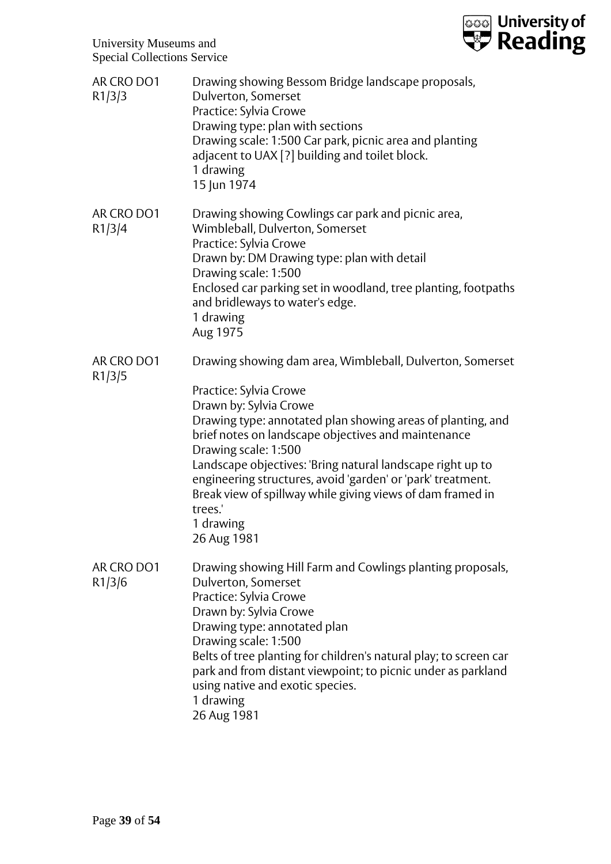

| AR CRO DO1<br>R1/3/3 | Drawing showing Bessom Bridge landscape proposals,<br>Dulverton, Somerset<br>Practice: Sylvia Crowe<br>Drawing type: plan with sections<br>Drawing scale: 1:500 Car park, picnic area and planting<br>adjacent to UAX [?] building and toilet block.<br>1 drawing<br>15 Jun 1974                                                                                                                                                                                                              |
|----------------------|-----------------------------------------------------------------------------------------------------------------------------------------------------------------------------------------------------------------------------------------------------------------------------------------------------------------------------------------------------------------------------------------------------------------------------------------------------------------------------------------------|
| AR CRO DO1<br>R1/3/4 | Drawing showing Cowlings car park and picnic area,<br>Wimbleball, Dulverton, Somerset<br>Practice: Sylvia Crowe<br>Drawn by: DM Drawing type: plan with detail<br>Drawing scale: 1:500<br>Enclosed car parking set in woodland, tree planting, footpaths<br>and bridleways to water's edge.<br>1 drawing<br>Aug 1975                                                                                                                                                                          |
| AR CRO DO1<br>R1/3/5 | Drawing showing dam area, Wimbleball, Dulverton, Somerset<br>Practice: Sylvia Crowe<br>Drawn by: Sylvia Crowe<br>Drawing type: annotated plan showing areas of planting, and<br>brief notes on landscape objectives and maintenance<br>Drawing scale: 1:500<br>Landscape objectives: 'Bring natural landscape right up to<br>engineering structures, avoid 'garden' or 'park' treatment.<br>Break view of spillway while giving views of dam framed in<br>trees.'<br>1 drawing<br>26 Aug 1981 |
| AR CRO DO1<br>R1/3/6 | Drawing showing Hill Farm and Cowlings planting proposals,<br>Dulverton, Somerset<br>Practice: Sylvia Crowe<br>Drawn by: Sylvia Crowe<br>Drawing type: annotated plan<br>Drawing scale: 1:500<br>Belts of tree planting for children's natural play; to screen car<br>park and from distant viewpoint; to picnic under as parkland<br>using native and exotic species.<br>1 drawing<br>26 Aug 1981                                                                                            |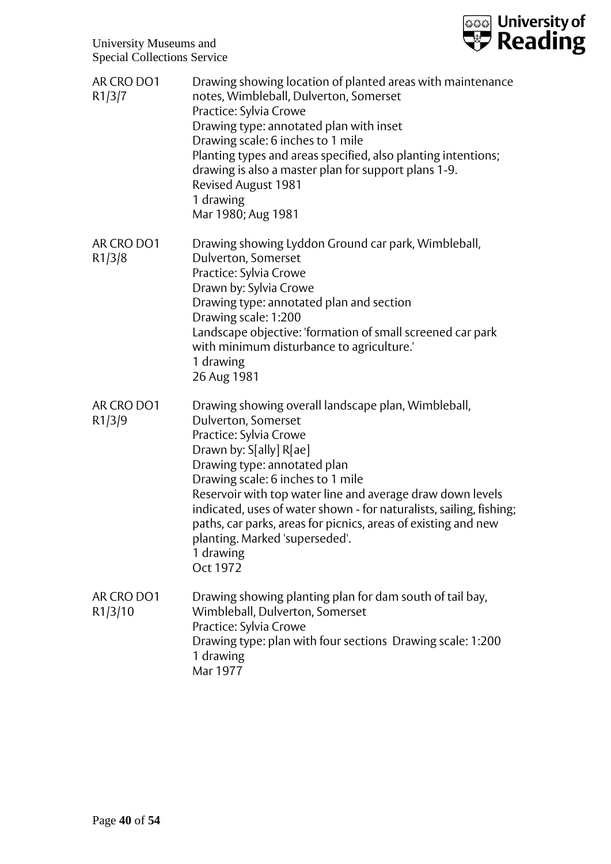

| AR CRO DO1<br>R1/3/7  | Drawing showing location of planted areas with maintenance<br>notes, Wimbleball, Dulverton, Somerset<br>Practice: Sylvia Crowe<br>Drawing type: annotated plan with inset<br>Drawing scale: 6 inches to 1 mile<br>Planting types and areas specified, also planting intentions;<br>drawing is also a master plan for support plans 1-9.<br><b>Revised August 1981</b><br>1 drawing<br>Mar 1980; Aug 1981                                                               |
|-----------------------|------------------------------------------------------------------------------------------------------------------------------------------------------------------------------------------------------------------------------------------------------------------------------------------------------------------------------------------------------------------------------------------------------------------------------------------------------------------------|
| AR CRO DO1<br>R1/3/8  | Drawing showing Lyddon Ground car park, Wimbleball,<br>Dulverton, Somerset<br>Practice: Sylvia Crowe<br>Drawn by: Sylvia Crowe<br>Drawing type: annotated plan and section<br>Drawing scale: 1:200<br>Landscape objective: 'formation of small screened car park<br>with minimum disturbance to agriculture.'<br>1 drawing<br>26 Aug 1981                                                                                                                              |
| AR CRO DO1<br>R1/3/9  | Drawing showing overall landscape plan, Wimbleball,<br>Dulverton, Somerset<br>Practice: Sylvia Crowe<br>Drawn by: S[ally] R[ae]<br>Drawing type: annotated plan<br>Drawing scale: 6 inches to 1 mile<br>Reservoir with top water line and average draw down levels<br>indicated, uses of water shown - for naturalists, sailing, fishing;<br>paths, car parks, areas for picnics, areas of existing and new<br>planting. Marked 'superseded'.<br>1 drawing<br>Oct 1972 |
| AR CRO DO1<br>R1/3/10 | Drawing showing planting plan for dam south of tail bay,<br>Wimbleball, Dulverton, Somerset<br>Practice: Sylvia Crowe<br>Drawing type: plan with four sections Drawing scale: 1:200<br>1 drawing<br>Mar 1977                                                                                                                                                                                                                                                           |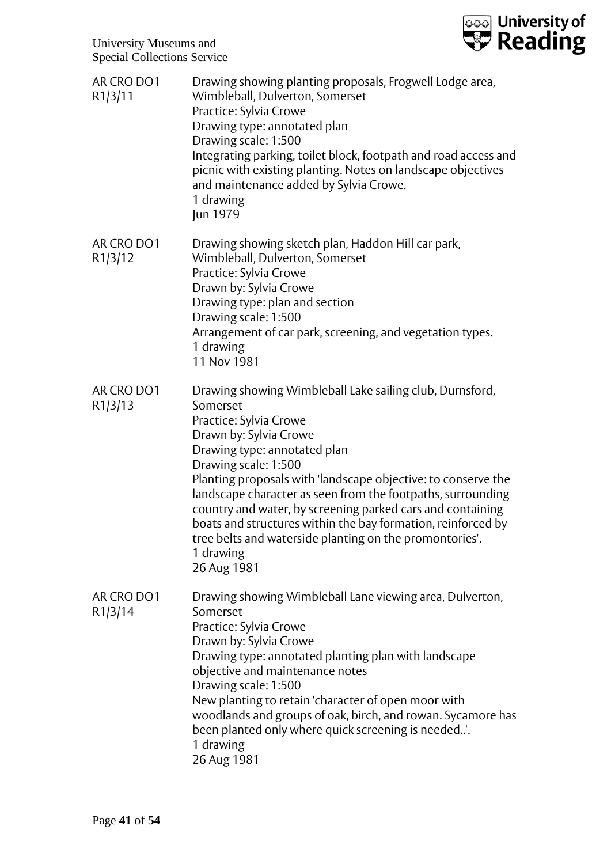

| AR CRO DO1<br>R1/3/11 | Drawing showing planting proposals, Frogwell Lodge area,<br>Wimbleball, Dulverton, Somerset<br>Practice: Sylvia Crowe<br>Drawing type: annotated plan<br>Drawing scale: 1:500<br>Integrating parking, toilet block, footpath and road access and<br>picnic with existing planting. Notes on landscape objectives<br>and maintenance added by Sylvia Crowe.<br>1 drawing<br>Jun 1979                                                                                                                                                   |
|-----------------------|---------------------------------------------------------------------------------------------------------------------------------------------------------------------------------------------------------------------------------------------------------------------------------------------------------------------------------------------------------------------------------------------------------------------------------------------------------------------------------------------------------------------------------------|
| AR CRO DO1<br>R1/3/12 | Drawing showing sketch plan, Haddon Hill car park,<br>Wimbleball, Dulverton, Somerset<br>Practice: Sylvia Crowe<br>Drawn by: Sylvia Crowe<br>Drawing type: plan and section<br>Drawing scale: 1:500<br>Arrangement of car park, screening, and vegetation types.<br>1 drawing<br>11 Nov 1981                                                                                                                                                                                                                                          |
| AR CRO DO1<br>R1/3/13 | Drawing showing Wimbleball Lake sailing club, Durnsford,<br>Somerset<br>Practice: Sylvia Crowe<br>Drawn by: Sylvia Crowe<br>Drawing type: annotated plan<br>Drawing scale: 1:500<br>Planting proposals with 'landscape objective: to conserve the<br>landscape character as seen from the footpaths, surrounding<br>country and water, by screening parked cars and containing<br>boats and structures within the bay formation, reinforced by<br>tree belts and waterside planting on the promontories'.<br>1 drawing<br>26 Aug 1981 |
| AR CRO DO1<br>R1/3/14 | Drawing showing Wimbleball Lane viewing area, Dulverton,<br>Somerset<br>Practice: Sylvia Crowe<br>Drawn by: Sylvia Crowe<br>Drawing type: annotated planting plan with landscape<br>objective and maintenance notes<br>Drawing scale: 1:500<br>New planting to retain 'character of open moor with<br>woodlands and groups of oak, birch, and rowan. Sycamore has<br>been planted only where quick screening is needed<br>1 drawing<br>26 Aug 1981                                                                                    |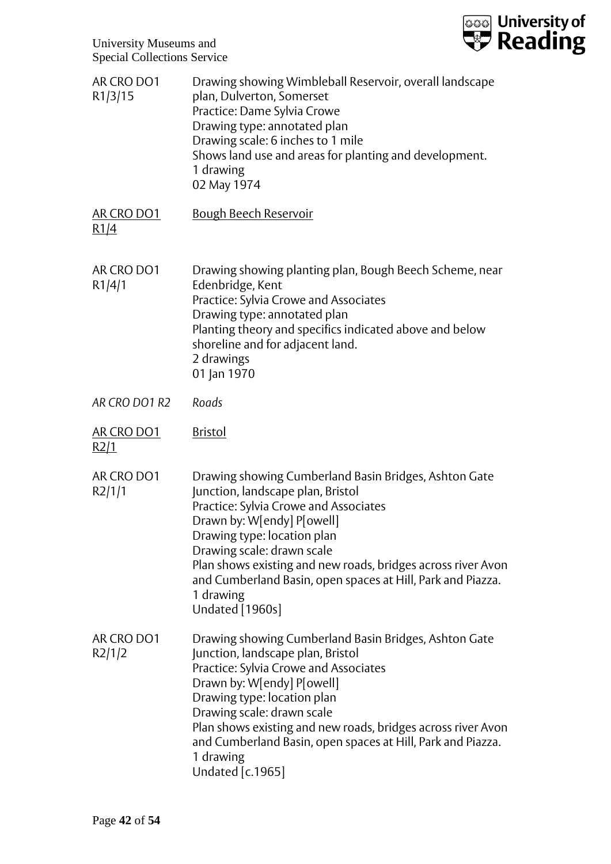

| AR CRO DO1<br>R1/3/15     | Drawing showing Wimbleball Reservoir, overall landscape<br>plan, Dulverton, Somerset<br>Practice: Dame Sylvia Crowe<br>Drawing type: annotated plan<br>Drawing scale: 6 inches to 1 mile<br>Shows land use and areas for planting and development.<br>1 drawing<br>02 May 1974                                                                                                                        |
|---------------------------|-------------------------------------------------------------------------------------------------------------------------------------------------------------------------------------------------------------------------------------------------------------------------------------------------------------------------------------------------------------------------------------------------------|
| AR CRO DO1<br>R1/4        | <b>Bough Beech Reservoir</b>                                                                                                                                                                                                                                                                                                                                                                          |
| AR CRO DO1<br>R1/4/1      | Drawing showing planting plan, Bough Beech Scheme, near<br>Edenbridge, Kent<br>Practice: Sylvia Crowe and Associates<br>Drawing type: annotated plan<br>Planting theory and specifics indicated above and below<br>shoreline and for adjacent land.<br>2 drawings<br>01 Jan 1970                                                                                                                      |
| AR CRO DO1 R2             | Roads                                                                                                                                                                                                                                                                                                                                                                                                 |
| <b>AR CRO DO1</b><br>R2/1 | <u>Bristol</u>                                                                                                                                                                                                                                                                                                                                                                                        |
| AR CRO DO1<br>R2/1/1      | Drawing showing Cumberland Basin Bridges, Ashton Gate<br>Junction, landscape plan, Bristol<br>Practice: Sylvia Crowe and Associates<br>Drawn by: W[endy] P[owell]<br>Drawing type: location plan<br>Drawing scale: drawn scale<br>Plan shows existing and new roads, bridges across river Avon<br>and Cumberland Basin, open spaces at Hill, Park and Piazza.<br>1 drawing<br>Undated [1960s]         |
| AR CRO DO1<br>R2/1/2      | Drawing showing Cumberland Basin Bridges, Ashton Gate<br>Junction, landscape plan, Bristol<br>Practice: Sylvia Crowe and Associates<br>Drawn by: W[endy] P[owell]<br>Drawing type: location plan<br>Drawing scale: drawn scale<br>Plan shows existing and new roads, bridges across river Avon<br>and Cumberland Basin, open spaces at Hill, Park and Piazza.<br>1 drawing<br><b>Undated</b> [c.1965] |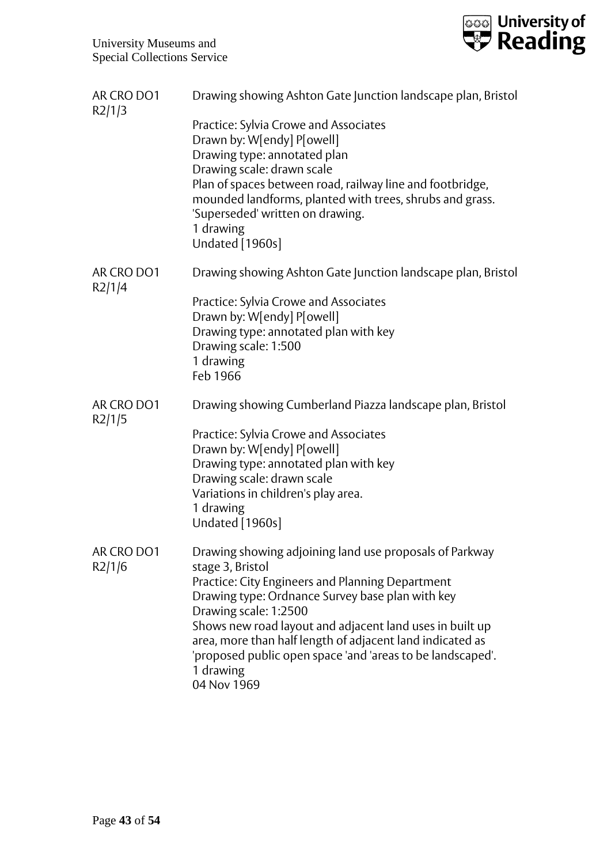

| AR CRO DO1<br>R2/1/3 | Drawing showing Ashton Gate Junction landscape plan, Bristol                                                                                                                                                                                                                                                                                                                                                                    |
|----------------------|---------------------------------------------------------------------------------------------------------------------------------------------------------------------------------------------------------------------------------------------------------------------------------------------------------------------------------------------------------------------------------------------------------------------------------|
|                      | Practice: Sylvia Crowe and Associates<br>Drawn by: W[endy] P[owell]<br>Drawing type: annotated plan<br>Drawing scale: drawn scale<br>Plan of spaces between road, railway line and footbridge,<br>mounded landforms, planted with trees, shrubs and grass.<br>'Superseded' written on drawing.<br>1 drawing<br>Undated [1960s]                                                                                                  |
| AR CRO DO1<br>R2/1/4 | Drawing showing Ashton Gate Junction landscape plan, Bristol                                                                                                                                                                                                                                                                                                                                                                    |
|                      | Practice: Sylvia Crowe and Associates<br>Drawn by: W[endy] P[owell]<br>Drawing type: annotated plan with key<br>Drawing scale: 1:500<br>1 drawing<br>Feb 1966                                                                                                                                                                                                                                                                   |
| AR CRO DO1<br>R2/1/5 | Drawing showing Cumberland Piazza landscape plan, Bristol                                                                                                                                                                                                                                                                                                                                                                       |
|                      | Practice: Sylvia Crowe and Associates<br>Drawn by: W[endy] P[owell]                                                                                                                                                                                                                                                                                                                                                             |
|                      | Drawing type: annotated plan with key                                                                                                                                                                                                                                                                                                                                                                                           |
|                      | Drawing scale: drawn scale<br>Variations in children's play area.                                                                                                                                                                                                                                                                                                                                                               |
|                      | 1 drawing<br>Undated [1960s]                                                                                                                                                                                                                                                                                                                                                                                                    |
| AR CRO DO1<br>R2/1/6 | Drawing showing adjoining land use proposals of Parkway<br>stage 3, Bristol<br>Practice: City Engineers and Planning Department<br>Drawing type: Ordnance Survey base plan with key<br>Drawing scale: 1:2500<br>Shows new road layout and adjacent land uses in built up<br>area, more than half length of adjacent land indicated as<br>'proposed public open space 'and 'areas to be landscaped'.<br>1 drawing<br>04 Nov 1969 |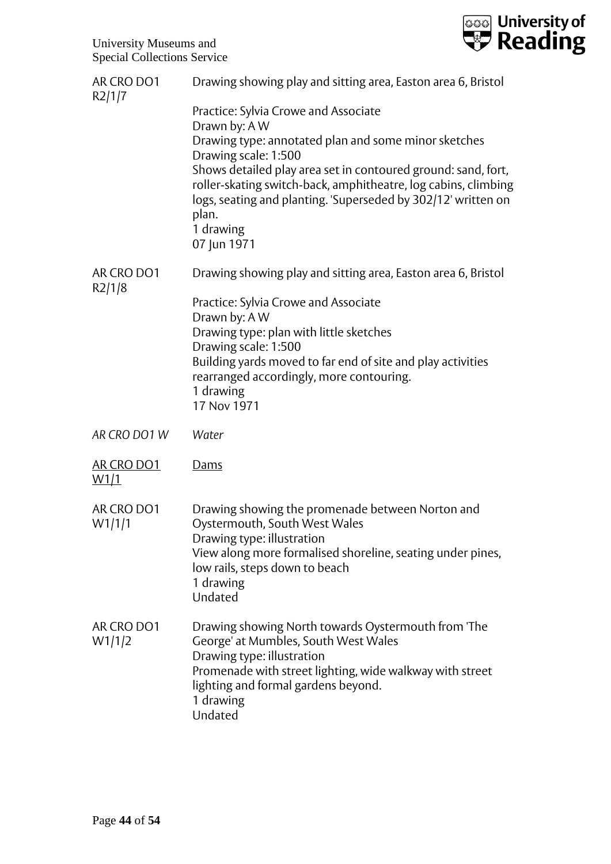

| AR CRO DO1<br>R2/1/7 | Drawing showing play and sitting area, Easton area 6, Bristol                                                                                                                                                                                                                                                                                                                  |
|----------------------|--------------------------------------------------------------------------------------------------------------------------------------------------------------------------------------------------------------------------------------------------------------------------------------------------------------------------------------------------------------------------------|
|                      | Practice: Sylvia Crowe and Associate<br>Drawn by: A W<br>Drawing type: annotated plan and some minor sketches<br>Drawing scale: 1:500<br>Shows detailed play area set in contoured ground: sand, fort,<br>roller-skating switch-back, amphitheatre, log cabins, climbing<br>logs, seating and planting. 'Superseded by 302/12' written on<br>plan.<br>1 drawing<br>07 Jun 1971 |
| AR CRO DO1<br>R2/1/8 | Drawing showing play and sitting area, Easton area 6, Bristol                                                                                                                                                                                                                                                                                                                  |
|                      | Practice: Sylvia Crowe and Associate<br>Drawn by: A W<br>Drawing type: plan with little sketches<br>Drawing scale: 1:500<br>Building yards moved to far end of site and play activities<br>rearranged accordingly, more contouring.<br>1 drawing<br>17 Nov 1971                                                                                                                |
| AR CRO DO1 W         | Water                                                                                                                                                                                                                                                                                                                                                                          |
| AR CRO DO1<br>W1/1   | Dams                                                                                                                                                                                                                                                                                                                                                                           |
| AR CRO DO1<br>W1/1/1 | Drawing showing the promenade between Norton and<br>Oystermouth, South West Wales<br>Drawing type: illustration<br>View along more formalised shoreline, seating under pines,<br>low rails, steps down to beach<br>1 drawing<br>Undated                                                                                                                                        |
| AR CRO DO1<br>W1/1/2 | Drawing showing North towards Oystermouth from 'The<br>George' at Mumbles, South West Wales<br>Drawing type: illustration<br>Promenade with street lighting, wide walkway with street<br>lighting and formal gardens beyond.<br>1 drawing<br>Undated                                                                                                                           |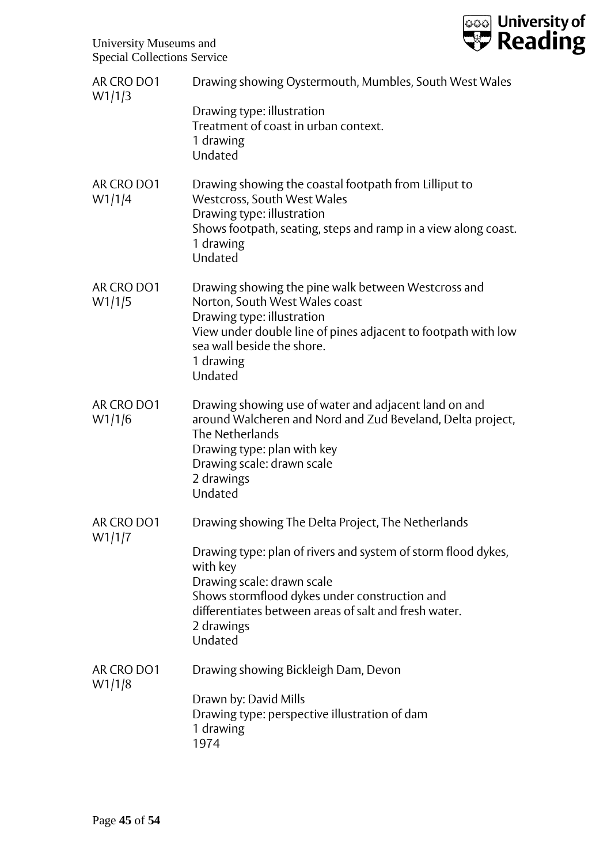

| AR CRO DO1<br>W1/1/3 | Drawing showing Oystermouth, Mumbles, South West Wales                                                                                                                                                                                     |
|----------------------|--------------------------------------------------------------------------------------------------------------------------------------------------------------------------------------------------------------------------------------------|
|                      | Drawing type: illustration<br>Treatment of coast in urban context.<br>1 drawing<br>Undated                                                                                                                                                 |
| AR CRO DO1<br>W1/1/4 | Drawing showing the coastal footpath from Lilliput to<br>Westcross, South West Wales<br>Drawing type: illustration<br>Shows footpath, seating, steps and ramp in a view along coast.<br>1 drawing<br>Undated                               |
| AR CRO DO1<br>W1/1/5 | Drawing showing the pine walk between Westcross and<br>Norton, South West Wales coast<br>Drawing type: illustration<br>View under double line of pines adjacent to footpath with low<br>sea wall beside the shore.<br>1 drawing<br>Undated |
| AR CRO DO1<br>W1/1/6 | Drawing showing use of water and adjacent land on and<br>around Walcheren and Nord and Zud Beveland, Delta project,<br>The Netherlands<br>Drawing type: plan with key<br>Drawing scale: drawn scale<br>2 drawings<br>Undated               |
| AR CRO DO1<br>W1/1/7 | Drawing showing The Delta Project, The Netherlands                                                                                                                                                                                         |
|                      | Drawing type: plan of rivers and system of storm flood dykes,<br>with key<br>Drawing scale: drawn scale<br>Shows stormflood dykes under construction and<br>differentiates between areas of salt and fresh water.<br>2 drawings<br>Undated |
| AR CRO DO1<br>W1/1/8 | Drawing showing Bickleigh Dam, Devon                                                                                                                                                                                                       |
|                      | Drawn by: David Mills<br>Drawing type: perspective illustration of dam<br>1 drawing<br>1974                                                                                                                                                |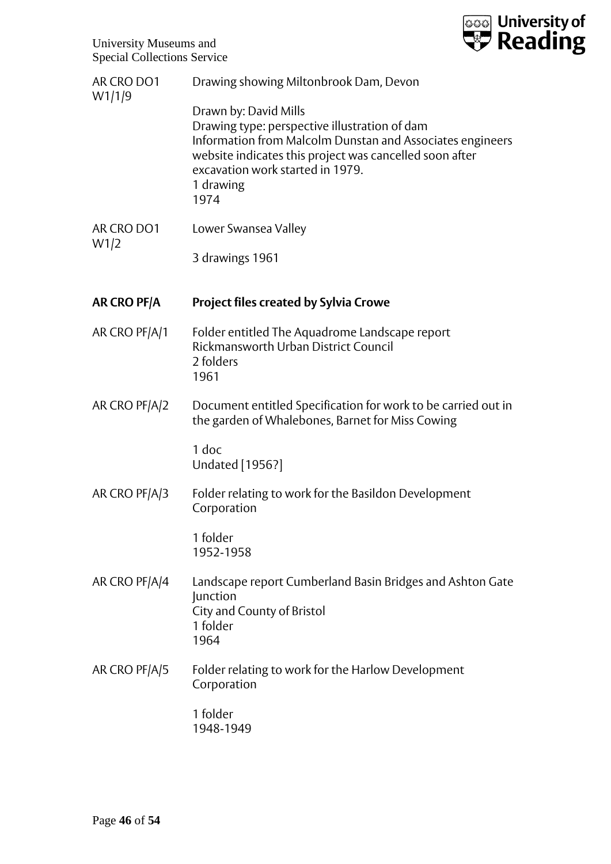

| AR CRO DO1<br>W1/1/9 | Drawing showing Miltonbrook Dam, Devon                                                                                                                                                                                                                  |
|----------------------|---------------------------------------------------------------------------------------------------------------------------------------------------------------------------------------------------------------------------------------------------------|
|                      | Drawn by: David Mills<br>Drawing type: perspective illustration of dam<br>Information from Malcolm Dunstan and Associates engineers<br>website indicates this project was cancelled soon after<br>excavation work started in 1979.<br>1 drawing<br>1974 |
| AR CRO DO1<br>W1/2   | Lower Swansea Valley                                                                                                                                                                                                                                    |
|                      | 3 drawings 1961                                                                                                                                                                                                                                         |
| AR CRO PF/A          | <b>Project files created by Sylvia Crowe</b>                                                                                                                                                                                                            |
| AR CRO PF/A/1        | Folder entitled The Aquadrome Landscape report<br>Rickmansworth Urban District Council<br>2 folders<br>1961                                                                                                                                             |
| AR CRO PF/A/2        | Document entitled Specification for work to be carried out in<br>the garden of Whalebones, Barnet for Miss Cowing                                                                                                                                       |
|                      | 1 doc<br>Undated [1956?]                                                                                                                                                                                                                                |
| AR CRO PF/A/3        | Folder relating to work for the Basildon Development<br>Corporation                                                                                                                                                                                     |
|                      | 1 folder<br>1952-1958                                                                                                                                                                                                                                   |
| AR CRO PF/A/4        | Landscape report Cumberland Basin Bridges and Ashton Gate<br>Junction<br>City and County of Bristol<br>1 folder<br>1964                                                                                                                                 |
| AR CRO PF/A/5        | Folder relating to work for the Harlow Development<br>Corporation                                                                                                                                                                                       |
|                      | 1 folder<br>1948-1949                                                                                                                                                                                                                                   |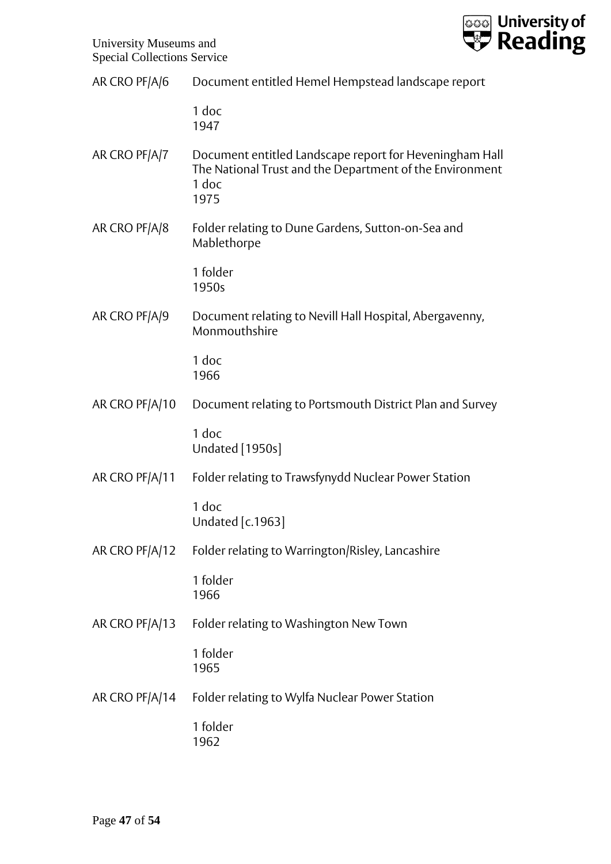

| AR CRO PF/A/6 | Document entitled Hemel Hempstead landscape report |
|---------------|----------------------------------------------------|
|---------------|----------------------------------------------------|

1 doc 1947

- AR CRO PF/A/7 Document entitled Landscape report for Heveningham Hall The National Trust and the Department of the Environment 1 doc 1975
- AR CRO PF/A/8 Folder relating to Dune Gardens, Sutton-on-Sea and Mablethorpe

1 folder 1950s

AR CRO PF/A/9 Document relating to Nevill Hall Hospital, Abergavenny, Monmouthshire

> 1 doc 1966

AR CRO PF/A/10 Document relating to Portsmouth District Plan and Survey

1 doc Undated [1950s]

AR CRO PF/A/11 Folder relating to Trawsfynydd Nuclear Power Station

1 doc Undated [c.1963]

AR CRO PF/A/12 Folder relating to Warrington/Risley, Lancashire

1 folder 1966

AR CRO PF/A/13 Folder relating to Washington New Town

1 folder 1965

AR CRO PF/A/14 Folder relating to Wylfa Nuclear Power Station

1 folder 1962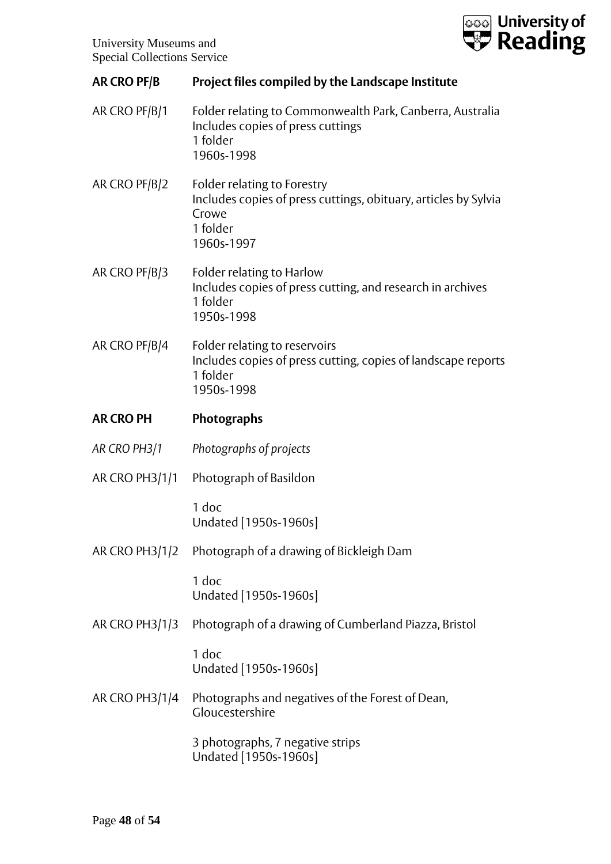

| <b>AR CRO PF/B</b>    | Project files compiled by the Landscape Institute                                                                                 |
|-----------------------|-----------------------------------------------------------------------------------------------------------------------------------|
| AR CRO PF/B/1         | Folder relating to Commonwealth Park, Canberra, Australia<br>Includes copies of press cuttings<br>1 folder<br>1960s-1998          |
| AR CRO PF/B/2         | Folder relating to Forestry<br>Includes copies of press cuttings, obituary, articles by Sylvia<br>Crowe<br>1 folder<br>1960s-1997 |
| AR CRO PF/B/3         | Folder relating to Harlow<br>Includes copies of press cutting, and research in archives<br>1 folder<br>1950s-1998                 |
| AR CRO PF/B/4         | Folder relating to reservoirs<br>Includes copies of press cutting, copies of landscape reports<br>1 folder<br>1950s-1998          |
| <b>AR CRO PH</b>      | <b>Photographs</b>                                                                                                                |
| AR CRO PH3/1          | Photographs of projects                                                                                                           |
| AR CRO PH3/1/1        | Photograph of Basildon                                                                                                            |
|                       | 1 doc<br>Undated [1950s-1960s]                                                                                                    |
| AR CRO PH3/1/2        | Photograph of a drawing of Bickleigh Dam                                                                                          |
|                       | 1 doc<br>Undated [1950s-1960s]                                                                                                    |
| <b>AR CRO PH3/1/3</b> | Photograph of a drawing of Cumberland Piazza, Bristol                                                                             |
|                       | 1 doc<br>Undated [1950s-1960s]                                                                                                    |
| AR CRO PH3/1/4        | Photographs and negatives of the Forest of Dean,<br>Gloucestershire                                                               |
|                       | 3 photographs, 7 negative strips<br>Undated [1950s-1960s]                                                                         |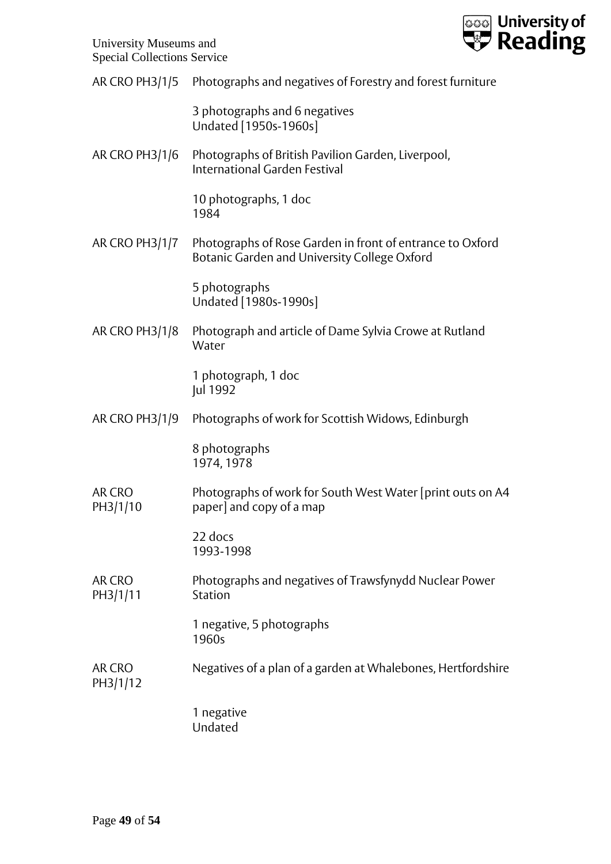

| AR CRO PH3/1/5            | Photographs and negatives of Forestry and forest furniture                                                |
|---------------------------|-----------------------------------------------------------------------------------------------------------|
|                           | 3 photographs and 6 negatives<br>Undated [1950s-1960s]                                                    |
| AR CRO PH3/1/6            | Photographs of British Pavilion Garden, Liverpool,<br><b>International Garden Festival</b>                |
|                           | 10 photographs, 1 doc<br>1984                                                                             |
| AR CRO PH3/1/7            | Photographs of Rose Garden in front of entrance to Oxford<br>Botanic Garden and University College Oxford |
|                           | 5 photographs<br>Undated [1980s-1990s]                                                                    |
| <b>AR CRO PH3/1/8</b>     | Photograph and article of Dame Sylvia Crowe at Rutland<br>Water                                           |
|                           | 1 photograph, 1 doc<br>Jul 1992                                                                           |
| AR CRO PH3/1/9            | Photographs of work for Scottish Widows, Edinburgh                                                        |
|                           | 8 photographs<br>1974, 1978                                                                               |
| <b>AR CRO</b><br>PH3/1/10 | Photographs of work for South West Water [print outs on A4<br>paper] and copy of a map                    |
|                           | 22 docs<br>1993-1998                                                                                      |
| <b>AR CRO</b><br>PH3/1/11 | Photographs and negatives of Trawsfynydd Nuclear Power<br>Station                                         |
|                           | 1 negative, 5 photographs<br>1960s                                                                        |
| AR CRO<br>PH3/1/12        | Negatives of a plan of a garden at Whalebones, Hertfordshire                                              |
|                           | 1 negative<br>Undated                                                                                     |
|                           |                                                                                                           |
|                           |                                                                                                           |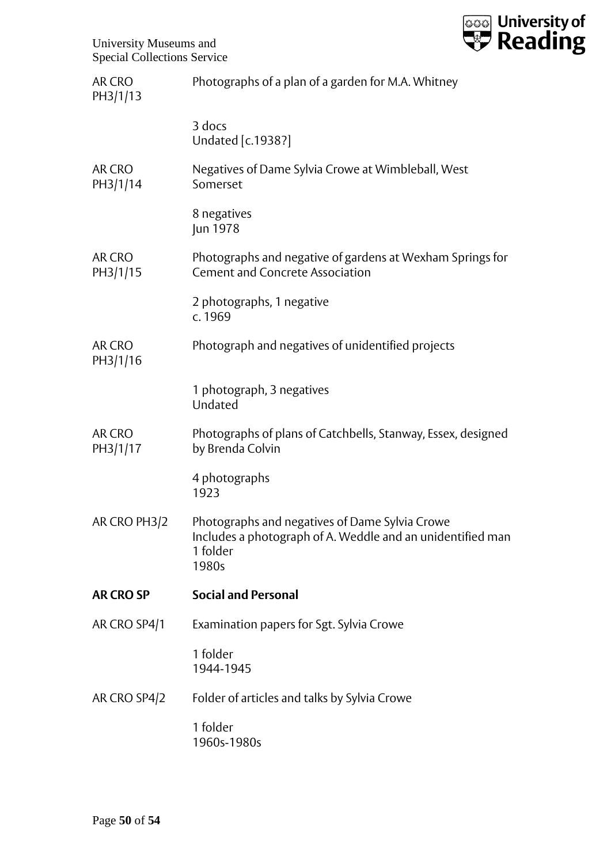

| AR CRO<br>PH3/1/13 | Photographs of a plan of a garden for M.A. Whitney                                                                                |
|--------------------|-----------------------------------------------------------------------------------------------------------------------------------|
|                    | 3 docs<br>Undated [c.1938?]                                                                                                       |
| AR CRO<br>PH3/1/14 | Negatives of Dame Sylvia Crowe at Wimbleball, West<br>Somerset                                                                    |
|                    | 8 negatives<br>Jun 1978                                                                                                           |
| AR CRO<br>PH3/1/15 | Photographs and negative of gardens at Wexham Springs for<br><b>Cement and Concrete Association</b>                               |
|                    | 2 photographs, 1 negative<br>c. 1969                                                                                              |
| AR CRO<br>PH3/1/16 | Photograph and negatives of unidentified projects                                                                                 |
|                    | 1 photograph, 3 negatives<br>Undated                                                                                              |
| AR CRO<br>PH3/1/17 | Photographs of plans of Catchbells, Stanway, Essex, designed<br>by Brenda Colvin                                                  |
|                    | 4 photographs<br>1923                                                                                                             |
| AR CRO PH3/2       | Photographs and negatives of Dame Sylvia Crowe<br>Includes a photograph of A. Weddle and an unidentified man<br>1 folder<br>1980s |
| <b>AR CRO SP</b>   | <b>Social and Personal</b>                                                                                                        |
| AR CRO SP4/1       | Examination papers for Sgt. Sylvia Crowe                                                                                          |
|                    | 1 folder<br>1944-1945                                                                                                             |
| AR CRO SP4/2       | Folder of articles and talks by Sylvia Crowe                                                                                      |
|                    | 1 folder<br>1960s-1980s                                                                                                           |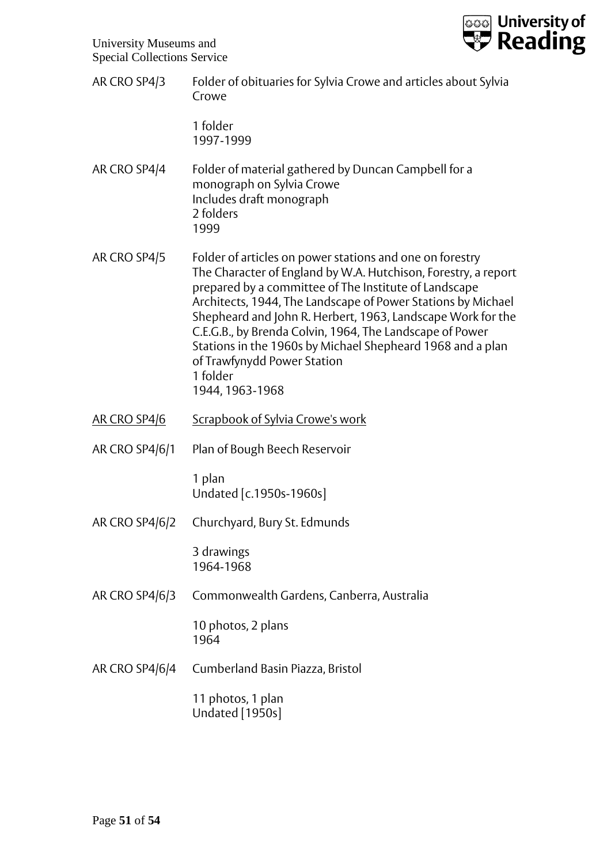

| opeeral concentions bet vice |                                                                                                                                                                                                                                                                                                                                                                                                                                                                                                            |
|------------------------------|------------------------------------------------------------------------------------------------------------------------------------------------------------------------------------------------------------------------------------------------------------------------------------------------------------------------------------------------------------------------------------------------------------------------------------------------------------------------------------------------------------|
| AR CRO SP4/3                 | Folder of obituaries for Sylvia Crowe and articles about Sylvia<br>Crowe                                                                                                                                                                                                                                                                                                                                                                                                                                   |
|                              | 1 folder<br>1997-1999                                                                                                                                                                                                                                                                                                                                                                                                                                                                                      |
| AR CRO SP4/4                 | Folder of material gathered by Duncan Campbell for a<br>monograph on Sylvia Crowe<br>Includes draft monograph<br>2 folders<br>1999                                                                                                                                                                                                                                                                                                                                                                         |
| AR CRO SP4/5                 | Folder of articles on power stations and one on forestry<br>The Character of England by W.A. Hutchison, Forestry, a report<br>prepared by a committee of The Institute of Landscape<br>Architects, 1944, The Landscape of Power Stations by Michael<br>Shepheard and John R. Herbert, 1963, Landscape Work for the<br>C.E.G.B., by Brenda Colvin, 1964, The Landscape of Power<br>Stations in the 1960s by Michael Shepheard 1968 and a plan<br>of Trawfynydd Power Station<br>1 folder<br>1944, 1963-1968 |
| <b>AR CRO SP4/6</b>          | Scrapbook of Sylvia Crowe's work                                                                                                                                                                                                                                                                                                                                                                                                                                                                           |
| <b>AR CRO SP4/6/1</b>        | Plan of Bough Beech Reservoir                                                                                                                                                                                                                                                                                                                                                                                                                                                                              |
|                              | 1 plan<br>Undated [c.1950s-1960s]                                                                                                                                                                                                                                                                                                                                                                                                                                                                          |
|                              | AR CRO SP4/6/2 Churchyard, Bury St. Edmunds                                                                                                                                                                                                                                                                                                                                                                                                                                                                |
|                              | 3 drawings<br>1964-1968                                                                                                                                                                                                                                                                                                                                                                                                                                                                                    |
| AR CRO SP4/6/3               | Commonwealth Gardens, Canberra, Australia                                                                                                                                                                                                                                                                                                                                                                                                                                                                  |
|                              | 10 photos, 2 plans<br>1964                                                                                                                                                                                                                                                                                                                                                                                                                                                                                 |
| AR CRO SP4/6/4               | Cumberland Basin Piazza, Bristol                                                                                                                                                                                                                                                                                                                                                                                                                                                                           |
|                              | 11 photos, 1 plan<br><b>Undated</b> [1950s]                                                                                                                                                                                                                                                                                                                                                                                                                                                                |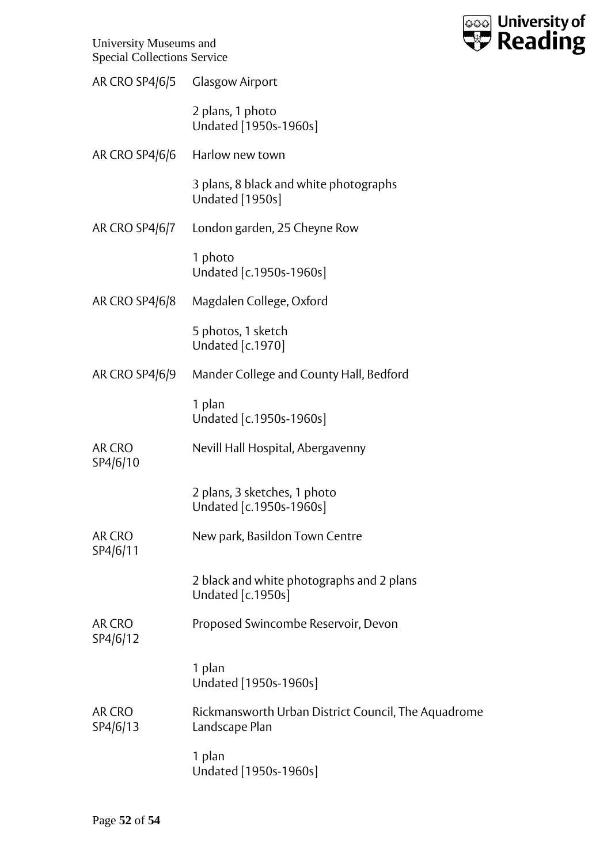

|                    | AR CRO SP4/6/5 Glasgow Airport                                        |
|--------------------|-----------------------------------------------------------------------|
|                    | 2 plans, 1 photo<br>Undated [1950s-1960s]                             |
| AR CRO SP4/6/6     | Harlow new town                                                       |
|                    | 3 plans, 8 black and white photographs<br>Undated [1950s]             |
| AR CRO SP4/6/7     | London garden, 25 Cheyne Row                                          |
|                    | 1 photo<br>Undated [c.1950s-1960s]                                    |
| AR CRO SP4/6/8     | Magdalen College, Oxford                                              |
|                    | 5 photos, 1 sketch<br>Undated [c.1970]                                |
| AR CRO SP4/6/9     | Mander College and County Hall, Bedford                               |
|                    | 1 plan<br>Undated [c.1950s-1960s]                                     |
| AR CRO<br>SP4/6/10 | Nevill Hall Hospital, Abergavenny                                     |
|                    | 2 plans, 3 sketches, 1 photo<br>Undated [c.1950s-1960s]               |
| AR CRO<br>SP4/6/11 | New park, Basildon Town Centre                                        |
|                    | 2 black and white photographs and 2 plans<br>Undated [c.1950s]        |
| AR CRO<br>SP4/6/12 | Proposed Swincombe Reservoir, Devon                                   |
|                    | 1 plan<br>Undated [1950s-1960s]                                       |
| AR CRO<br>SP4/6/13 | Rickmansworth Urban District Council, The Aquadrome<br>Landscape Plan |
|                    | 1 plan<br>Undated [1950s-1960s]                                       |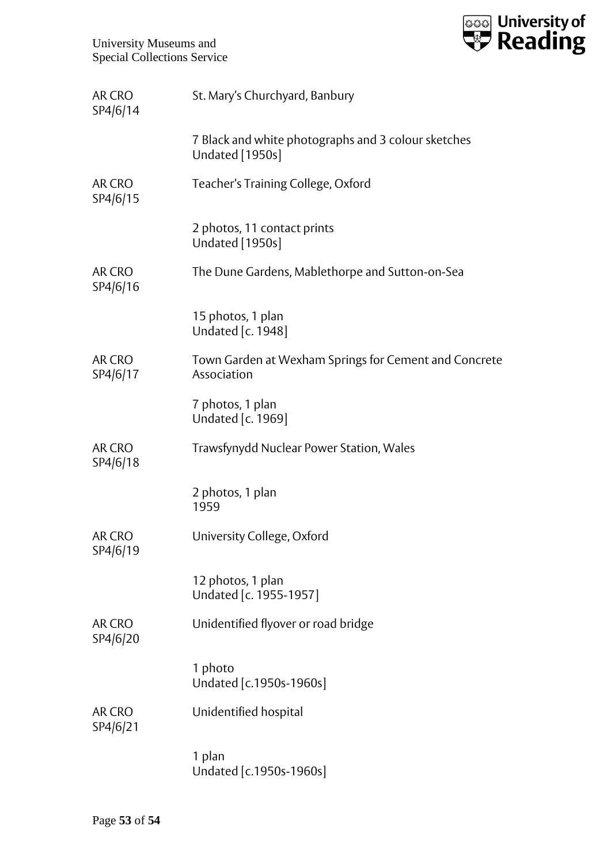

| AR CRO<br>SP4/6/14        | St. Mary's Churchyard, Banbury                                         |
|---------------------------|------------------------------------------------------------------------|
|                           | 7 Black and white photographs and 3 colour sketches<br>Undated [1950s] |
| AR CRO<br>SP4/6/15        | Teacher's Training College, Oxford                                     |
|                           | 2 photos, 11 contact prints<br>Undated [1950s]                         |
| AR CRO<br>SP4/6/16        | The Dune Gardens, Mablethorpe and Sutton-on-Sea                        |
|                           | 15 photos, 1 plan<br>Undated [c. 1948]                                 |
| AR CRO<br>SP4/6/17        | Town Garden at Wexham Springs for Cement and Concrete<br>Association   |
|                           | 7 photos, 1 plan<br>Undated [c. 1969]                                  |
| AR CRO<br>SP4/6/18        | Trawsfynydd Nuclear Power Station, Wales                               |
|                           | 2 photos, 1 plan<br>1959                                               |
| AR CRO<br>SP4/6/19        | University College, Oxford                                             |
|                           | 12 photos, 1 plan<br>Undated [c. 1955-1957]                            |
| <b>AR CRO</b><br>SP4/6/20 | Unidentified flyover or road bridge                                    |
|                           | 1 photo<br>Undated [c.1950s-1960s]                                     |
| AR CRO<br>SP4/6/21        | Unidentified hospital                                                  |
|                           | 1 plan<br>Undated [c.1950s-1960s]                                      |